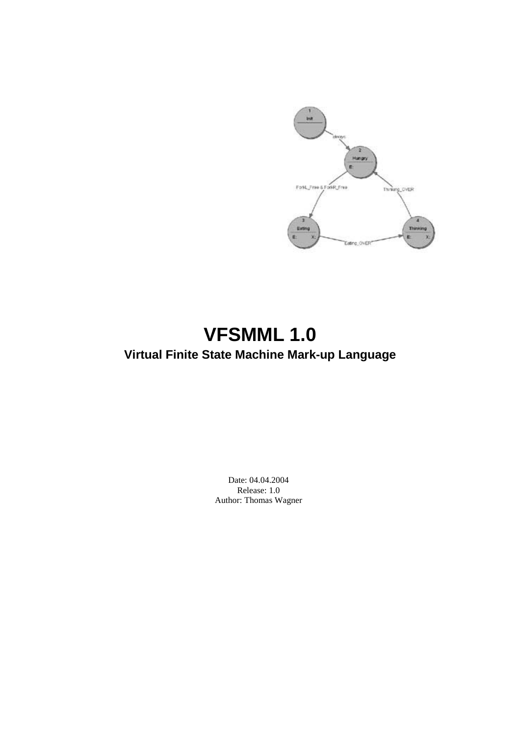

# **VFSMML 1.0 Virtual Finite State Machine Mark-up Language**

Date: 04.04.2004 Release: 1.0 Author: Thomas Wagner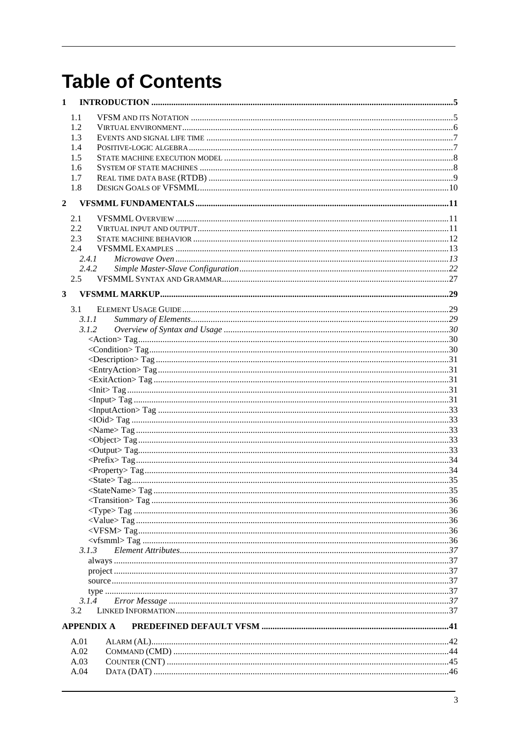# **Table of Contents**

| 1              |                   |  |
|----------------|-------------------|--|
|                | 1.1               |  |
|                | 1.2               |  |
|                | 1.3               |  |
|                | 1.4               |  |
|                | 1.5               |  |
|                | 1.6               |  |
|                | 1.7               |  |
|                | 1.8               |  |
| $\overline{2}$ |                   |  |
|                | 2.1               |  |
|                | 2.2               |  |
|                | 2.3               |  |
|                | 2.4               |  |
|                | 2.4.1             |  |
|                | 2.4.2             |  |
|                | 2.5               |  |
| $\mathbf{3}$   |                   |  |
|                |                   |  |
|                | 3.1               |  |
|                | 3.1.1             |  |
|                | 3.1.2             |  |
|                |                   |  |
|                |                   |  |
|                |                   |  |
|                |                   |  |
|                |                   |  |
|                |                   |  |
|                |                   |  |
|                |                   |  |
|                |                   |  |
|                |                   |  |
|                |                   |  |
|                |                   |  |
|                |                   |  |
|                |                   |  |
|                |                   |  |
|                |                   |  |
|                |                   |  |
|                |                   |  |
|                |                   |  |
|                |                   |  |
|                | 3.1.3             |  |
|                |                   |  |
|                |                   |  |
|                |                   |  |
|                |                   |  |
|                | 3.1.4             |  |
|                | 3.2               |  |
|                | <b>APPENDIX A</b> |  |
|                | A.01              |  |
|                | A.02              |  |
|                | A.03              |  |
|                | A.04              |  |
|                |                   |  |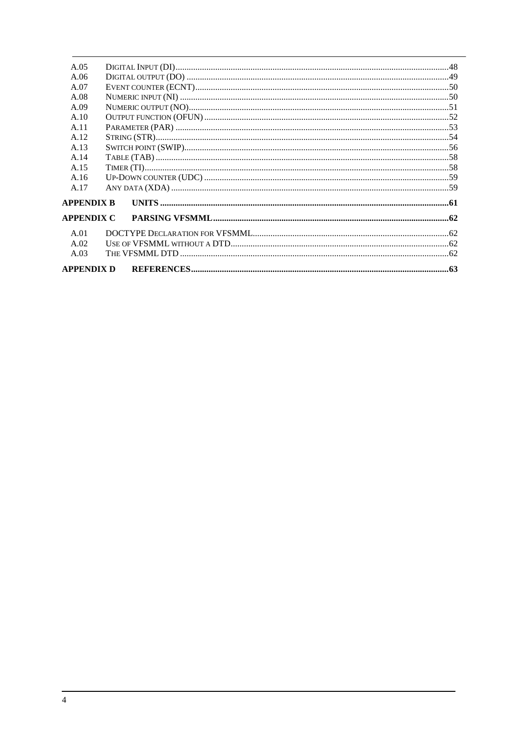| A.05              |  |
|-------------------|--|
| A.06              |  |
| A.07              |  |
| A.08              |  |
| A.09              |  |
| A.10              |  |
| A.11              |  |
| A.12              |  |
| A.13              |  |
| A.14              |  |
| A.15              |  |
| A.16              |  |
| A.17              |  |
| <b>APPENDIX B</b> |  |
| <b>APPENDIX C</b> |  |
| A.01              |  |
| A.02              |  |
| A.03              |  |
| <b>APPENDIX D</b> |  |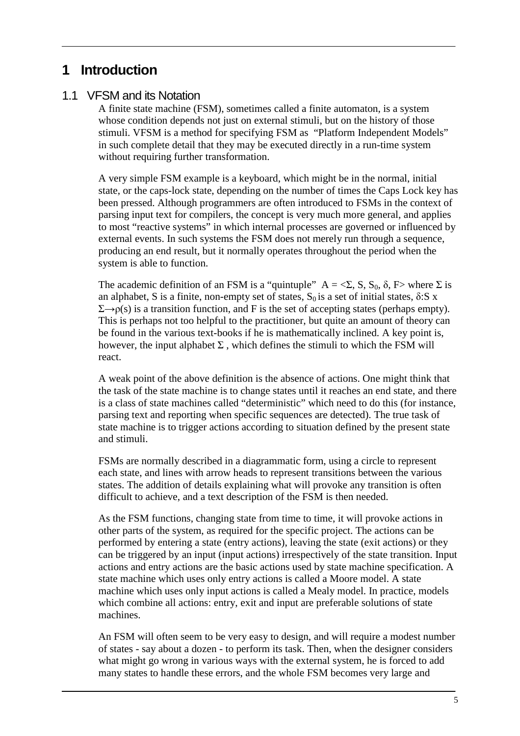## **1 Introduction**

## 1.1 VFSM and its Notation

A finite state machine (FSM), sometimes called a finite automaton, is a system whose condition depends not just on external stimuli, but on the history of those stimuli. VFSM is a method for specifying FSM as "Platform Independent Models" in such complete detail that they may be executed directly in a run-time system without requiring further transformation.

A very simple FSM example is a keyboard, which might be in the normal, initial state, or the caps-lock state, depending on the number of times the Caps Lock key has been pressed. Although programmers are often introduced to FSMs in the context of parsing input text for compilers, the concept is very much more general, and applies to most "reactive systems" in which internal processes are governed or influenced by external events. In such systems the FSM does not merely run through a sequence, producing an end result, but it normally operates throughout the period when the system is able to function.

The academic definition of an FSM is a "quintuple"  $A = \langle \Sigma, S, S_0, \delta, F \rangle$  where  $\Sigma$  is an alphabet, S is a finite, non-empty set of states,  $S_0$  is a set of initial states,  $\delta: S \times S$  $\Sigma \rightarrow \rho(s)$  is a transition function, and F is the set of accepting states (perhaps empty). This is perhaps not too helpful to the practitioner, but quite an amount of theory can be found in the various text-books if he is mathematically inclined. A key point is, however, the input alphabet  $\Sigma$ , which defines the stimuli to which the FSM will react.

A weak point of the above definition is the absence of actions. One might think that the task of the state machine is to change states until it reaches an end state, and there is a class of state machines called "deterministic" which need to do this (for instance, parsing text and reporting when specific sequences are detected). The true task of state machine is to trigger actions according to situation defined by the present state and stimuli.

FSMs are normally described in a diagrammatic form, using a circle to represent each state, and lines with arrow heads to represent transitions between the various states. The addition of details explaining what will provoke any transition is often difficult to achieve, and a text description of the FSM is then needed.

As the FSM functions, changing state from time to time, it will provoke actions in other parts of the system, as required for the specific project. The actions can be performed by entering a state (entry actions), leaving the state (exit actions) or they can be triggered by an input (input actions) irrespectively of the state transition. Input actions and entry actions are the basic actions used by state machine specification. A state machine which uses only entry actions is called a Moore model. A state machine which uses only input actions is called a Mealy model. In practice, models which combine all actions: entry, exit and input are preferable solutions of state machines.

An FSM will often seem to be very easy to design, and will require a modest number of states - say about a dozen - to perform its task. Then, when the designer considers what might go wrong in various ways with the external system, he is forced to add many states to handle these errors, and the whole FSM becomes very large and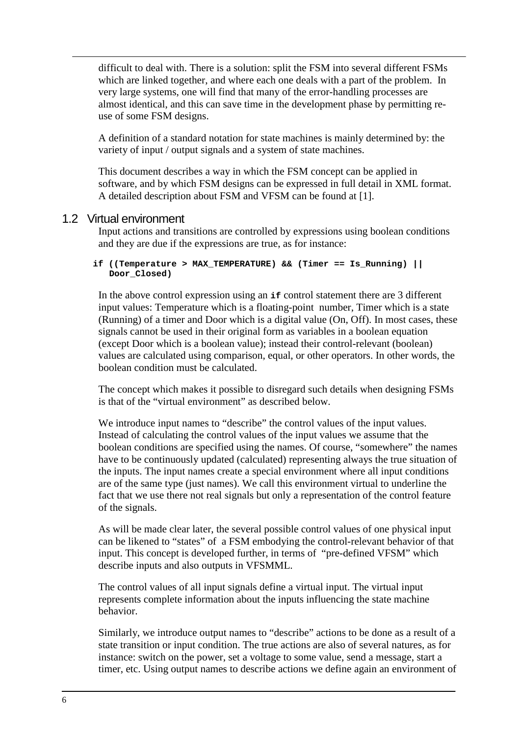difficult to deal with. There is a solution: split the FSM into several different FSMs which are linked together, and where each one deals with a part of the problem. In very large systems, one will find that many of the error-handling processes are almost identical, and this can save time in the development phase by permitting reuse of some FSM designs.

A definition of a standard notation for state machines is mainly determined by: the variety of input / output signals and a system of state machines.

This document describes a way in which the FSM concept can be applied in software, and by which FSM designs can be expressed in full detail in XML format. A detailed description about FSM and VFSM can be found at [1].

## 1.2 Virtual environment

Input actions and transitions are controlled by expressions using boolean conditions and they are due if the expressions are true, as for instance:

#### **if ((Temperature > MAX\_TEMPERATURE) && (Timer == Is\_Running) || Door\_Closed)**

In the above control expression using an **if** control statement there are 3 different input values: Temperature which is a floating-point number, Timer which is a state (Running) of a timer and Door which is a digital value (On, Off). In most cases, these signals cannot be used in their original form as variables in a boolean equation (except Door which is a boolean value); instead their control-relevant (boolean) values are calculated using comparison, equal, or other operators. In other words, the boolean condition must be calculated.

The concept which makes it possible to disregard such details when designing FSMs is that of the "virtual environment" as described below.

We introduce input names to "describe" the control values of the input values. Instead of calculating the control values of the input values we assume that the boolean conditions are specified using the names. Of course, "somewhere" the names have to be continuously updated (calculated) representing always the true situation of the inputs. The input names create a special environment where all input conditions are of the same type (just names). We call this environment virtual to underline the fact that we use there not real signals but only a representation of the control feature of the signals.

As will be made clear later, the several possible control values of one physical input can be likened to "states" of a FSM embodying the control-relevant behavior of that input. This concept is developed further, in terms of "pre-defined VFSM" which describe inputs and also outputs in VFSMML.

The control values of all input signals define a virtual input. The virtual input represents complete information about the inputs influencing the state machine behavior.

Similarly, we introduce output names to "describe" actions to be done as a result of a state transition or input condition. The true actions are also of several natures, as for instance: switch on the power, set a voltage to some value, send a message, start a timer, etc. Using output names to describe actions we define again an environment of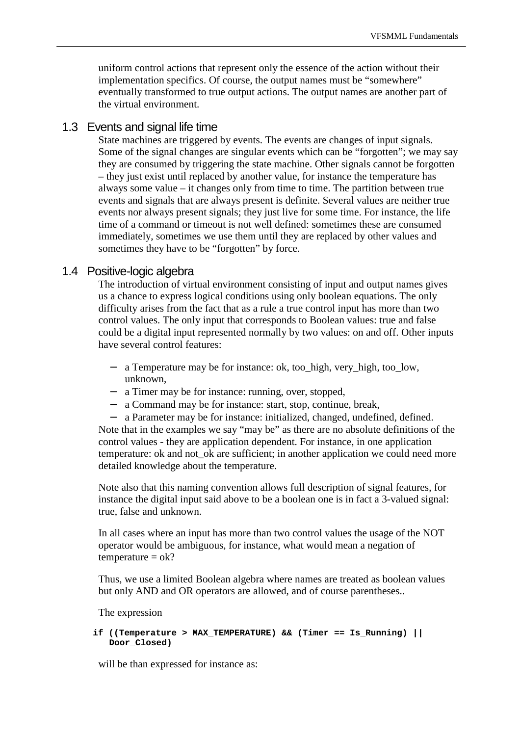uniform control actions that represent only the essence of the action without their implementation specifics. Of course, the output names must be "somewhere" eventually transformed to true output actions. The output names are another part of the virtual environment.

## 1.3 Events and signal life time

State machines are triggered by events. The events are changes of input signals. Some of the signal changes are singular events which can be "forgotten"; we may say they are consumed by triggering the state machine. Other signals cannot be forgotten – they just exist until replaced by another value, for instance the temperature has always some value – it changes only from time to time. The partition between true events and signals that are always present is definite. Several values are neither true events nor always present signals; they just live for some time. For instance, the life time of a command or timeout is not well defined: sometimes these are consumed immediately, sometimes we use them until they are replaced by other values and sometimes they have to be "forgotten" by force.

## 1.4 Positive-logic algebra

The introduction of virtual environment consisting of input and output names gives us a chance to express logical conditions using only boolean equations. The only difficulty arises from the fact that as a rule a true control input has more than two control values. The only input that corresponds to Boolean values: true and false could be a digital input represented normally by two values: on and off. Other inputs have several control features:

- − a Temperature may be for instance: ok, too\_high, very\_high, too\_low, unknown,
- − a Timer may be for instance: running, over, stopped,
- a Command may be for instance: start, stop, continue, break,

− a Parameter may be for instance: initialized, changed, undefined, defined. Note that in the examples we say "may be" as there are no absolute definitions of the control values - they are application dependent. For instance, in one application temperature: ok and not\_ok are sufficient; in another application we could need more detailed knowledge about the temperature.

Note also that this naming convention allows full description of signal features, for instance the digital input said above to be a boolean one is in fact a 3-valued signal: true, false and unknown.

In all cases where an input has more than two control values the usage of the NOT operator would be ambiguous, for instance, what would mean a negation of  $temperature = ok?$ 

Thus, we use a limited Boolean algebra where names are treated as boolean values but only AND and OR operators are allowed, and of course parentheses..

The expression

```
if ((Temperature > MAX_TEMPERATURE) && (Timer == Is_Running) || 
   Door_Closed)
```
will be than expressed for instance as: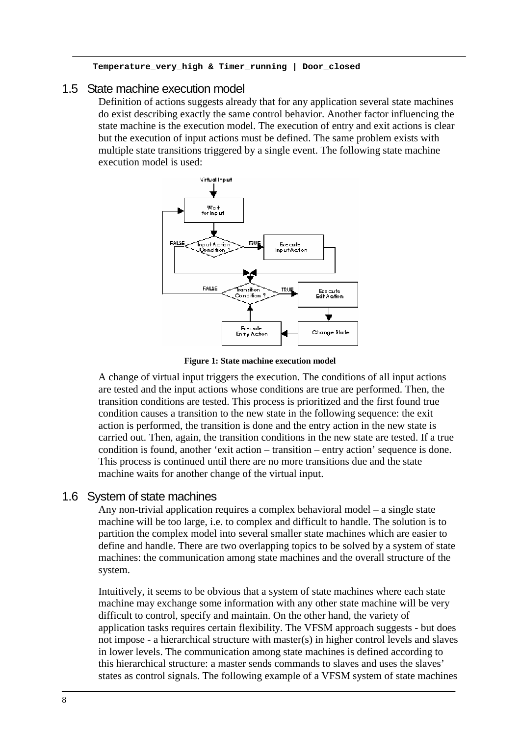```
Temperature_very_high & Timer_running | Door_closed
```
## 1.5 State machine execution model

Definition of actions suggests already that for any application several state machines do exist describing exactly the same control behavior. Another factor influencing the state machine is the execution model. The execution of entry and exit actions is clear but the execution of input actions must be defined. The same problem exists with multiple state transitions triggered by a single event. The following state machine execution model is used:



**Figure 1: State machine execution model** 

A change of virtual input triggers the execution. The conditions of all input actions are tested and the input actions whose conditions are true are performed. Then, the transition conditions are tested. This process is prioritized and the first found true condition causes a transition to the new state in the following sequence: the exit action is performed, the transition is done and the entry action in the new state is carried out. Then, again, the transition conditions in the new state are tested. If a true condition is found, another 'exit action – transition – entry action' sequence is done. This process is continued until there are no more transitions due and the state machine waits for another change of the virtual input.

## 1.6 System of state machines

Any non-trivial application requires a complex behavioral model – a single state machine will be too large, i.e. to complex and difficult to handle. The solution is to partition the complex model into several smaller state machines which are easier to define and handle. There are two overlapping topics to be solved by a system of state machines: the communication among state machines and the overall structure of the system.

Intuitively, it seems to be obvious that a system of state machines where each state machine may exchange some information with any other state machine will be very difficult to control, specify and maintain. On the other hand, the variety of application tasks requires certain flexibility. The VFSM approach suggests - but does not impose - a hierarchical structure with master(s) in higher control levels and slaves in lower levels. The communication among state machines is defined according to this hierarchical structure: a master sends commands to slaves and uses the slaves' states as control signals. The following example of a VFSM system of state machines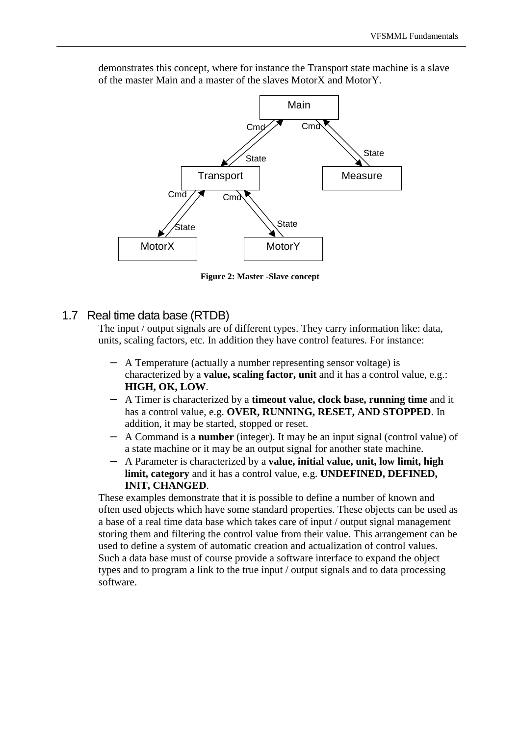

demonstrates this concept, where for instance the Transport state machine is a slave of the master Main and a master of the slaves MotorX and MotorY.

**Figure 2: Master -Slave concept** 

## 1.7 Real time data base (RTDB)

The input / output signals are of different types. They carry information like: data, units, scaling factors, etc. In addition they have control features. For instance:

- − A Temperature (actually a number representing sensor voltage) is characterized by a **value, scaling factor, unit** and it has a control value, e.g.: **HIGH, OK, LOW**.
- − A Timer is characterized by a **timeout value, clock base, running time** and it has a control value, e.g. **OVER, RUNNING, RESET, AND STOPPED**. In addition, it may be started, stopped or reset.
- − A Command is a **number** (integer). It may be an input signal (control value) of a state machine or it may be an output signal for another state machine.
- − A Parameter is characterized by a **value, initial value, unit, low limit, high limit, category** and it has a control value, e.g. **UNDEFINED, DEFINED, INIT, CHANGED**.

These examples demonstrate that it is possible to define a number of known and often used objects which have some standard properties. These objects can be used as a base of a real time data base which takes care of input / output signal management storing them and filtering the control value from their value. This arrangement can be used to define a system of automatic creation and actualization of control values. Such a data base must of course provide a software interface to expand the object types and to program a link to the true input / output signals and to data processing software.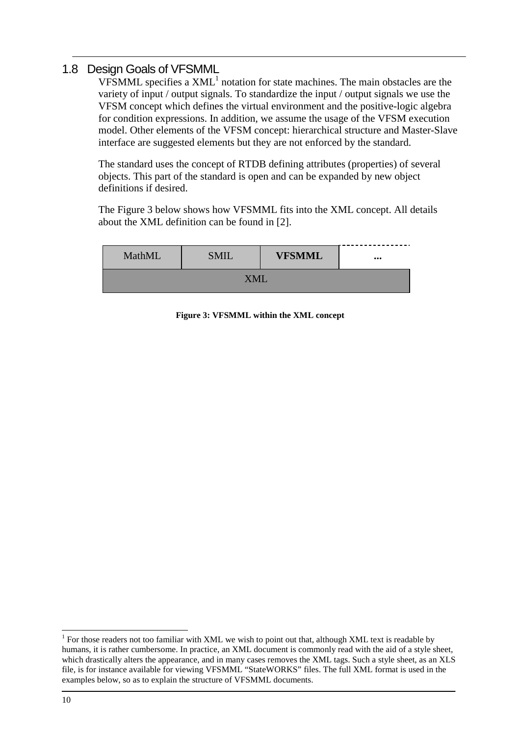## 1.8 Design Goals of VFSMML

VFSMML specifies a  $XML<sup>1</sup>$  notation for state machines. The main obstacles are the variety of input / output signals. To standardize the input / output signals we use the VFSM concept which defines the virtual environment and the positive-logic algebra for condition expressions. In addition, we assume the usage of the VFSM execution model. Other elements of the VFSM concept: hierarchical structure and Master-Slave interface are suggested elements but they are not enforced by the standard.

The standard uses the concept of RTDB defining attributes (properties) of several objects. This part of the standard is open and can be expanded by new object definitions if desired.

The Figure 3 below shows how VFSMML fits into the XML concept. All details about the XML definition can be found in [2].

| MathML | <b>SMIL</b> | <b>VFSMML</b> | $\bullet\bullet\bullet$ |  |
|--------|-------------|---------------|-------------------------|--|
| XML    |             |               |                         |  |

**Figure 3: VFSMML within the XML concept** 

<sup>&</sup>lt;sup>1</sup> For those readers not too familiar with XML we wish to point out that, although XML text is readable by humans, it is rather cumbersome. In practice, an XML document is commonly read with the aid of a style sheet, which drastically alters the appearance, and in many cases removes the XML tags. Such a style sheet, as an XLS file, is for instance available for viewing VFSMML "StateWORKS" files. The full XML format is used in the examples below, so as to explain the structure of VFSMML documents.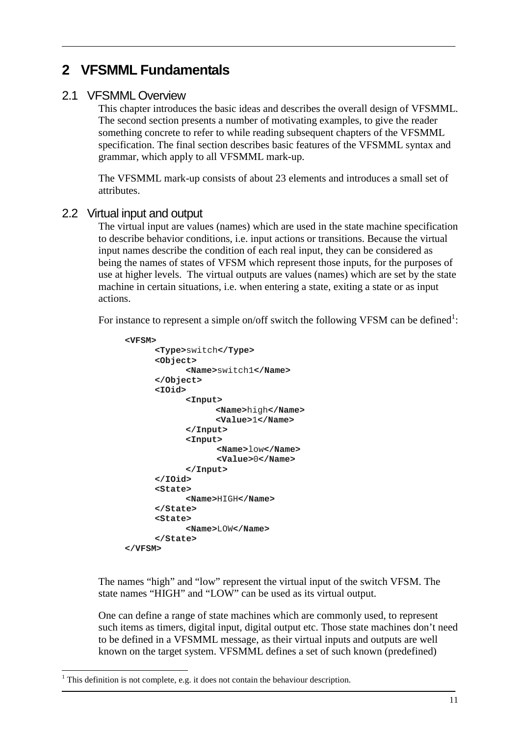## **2 VFSMML Fundamentals**

## 2.1 VFSMML Overview

This chapter introduces the basic ideas and describes the overall design of VFSMML. The second section presents a number of motivating examples, to give the reader something concrete to refer to while reading subsequent chapters of the VFSMML specification. The final section describes basic features of the VFSMML syntax and grammar, which apply to all VFSMML mark-up.

The VFSMML mark-up consists of about 23 elements and introduces a small set of attributes.

#### 2.2 Virtual input and output

The virtual input are values (names) which are used in the state machine specification to describe behavior conditions, i.e. input actions or transitions. Because the virtual input names describe the condition of each real input, they can be considered as being the names of states of VFSM which represent those inputs, for the purposes of use at higher levels. The virtual outputs are values (names) which are set by the state machine in certain situations, i.e. when entering a state, exiting a state or as input actions.

For instance to represent a simple on/off switch the following VFSM can be defined<sup>1</sup>:

```
<VFSM> 
      <Type>switch</Type> 
      <Object> 
             <Name>switch1</Name> 
      </Object> 
      <IOid> 
             <Input> 
                   <Name>high</Name> 
                   <Value>1</Name> 
             </Input> 
             <Input> 
                    <Name>low</Name> 
                    <Value>0</Name> 
             </Input> 
      </IOid> 
      <State> 
             <Name>HIGH</Name> 
      </State> 
      <State> 
             <Name>LOW</Name> 
      </State> 
</VFSM>
```
The names "high" and "low" represent the virtual input of the switch VFSM. The state names "HIGH" and "LOW" can be used as its virtual output.

One can define a range of state machines which are commonly used, to represent such items as timers, digital input, digital output etc. Those state machines don't need to be defined in a VFSMML message, as their virtual inputs and outputs are well known on the target system. VFSMML defines a set of such known (predefined)

 $\overline{a}$ 

 $<sup>1</sup>$  This definition is not complete, e.g. it does not contain the behaviour description.</sup>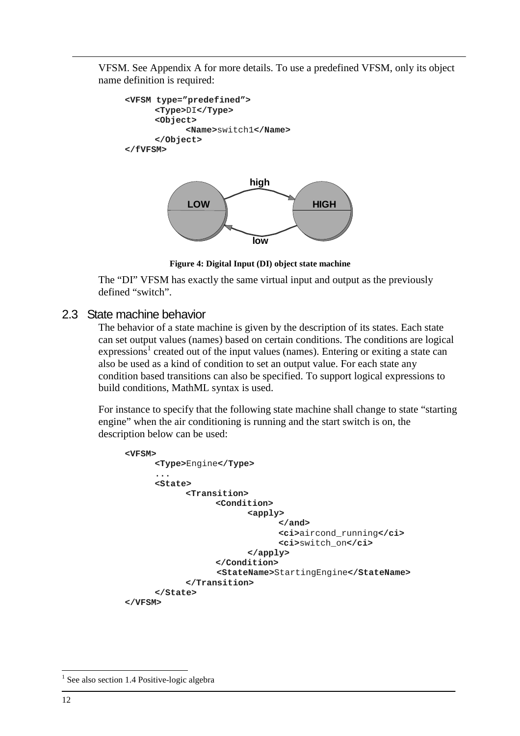VFSM. See Appendix A for more details. To use a predefined VFSM, only its object name definition is required:

```
<VFSM type="predefined"> 
      <Type>DI</Type> 
      <Object> 
            <Name>switch1</Name> 
      </Object> 
</fVFSM>
```


**Figure 4: Digital Input (DI) object state machine** 

The "DI" VFSM has exactly the same virtual input and output as the previously defined "switch".

## 2.3 State machine behavior

The behavior of a state machine is given by the description of its states. Each state can set output values (names) based on certain conditions. The conditions are logical  $expressions<sup>1</sup> created out of the input values (names). Entering or exiting a state can$ also be used as a kind of condition to set an output value. For each state any condition based transitions can also be specified. To support logical expressions to build conditions, MathML syntax is used.

For instance to specify that the following state machine shall change to state "starting engine" when the air conditioning is running and the start switch is on, the description below can be used:

```
<VFSM> 
      <Type>Engine</Type> 
      ... 
      <State> 
             <Transition> 
                   <Condition> 
                          <apply> 
                                 </and> 
                                 <ci>aircond_running</ci> 
                                 <ci>switch_on</ci> 
                          </apply> 
                   </Condition> 
                    <StateName>StartingEngine</StateName> 
             </Transition> 
      </State> 
</VFSM>
```
 $\overline{a}$ 

<sup>&</sup>lt;sup>1</sup> See also section 1.4 Positive-logic algebra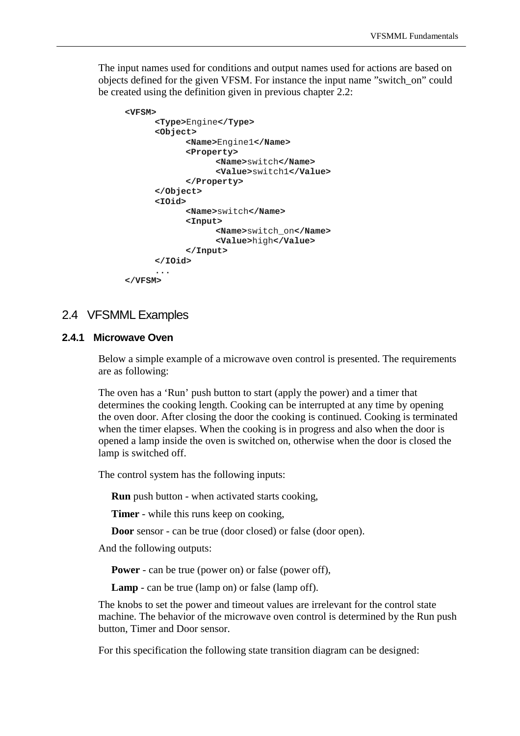The input names used for conditions and output names used for actions are based on objects defined for the given VFSM. For instance the input name "switch\_on" could be created using the definition given in previous chapter 2.2:

```
<VFSM> 
      <Type>Engine</Type> 
      <Object> 
             <Name>Engine1</Name> 
             <Property> 
                   <Name>switch</Name> 
                   <Value>switch1</Value> 
             </Property> 
      </Object> 
      <IOid> 
             <Name>switch</Name> 
             <Input> 
                   <Name>switch_on</Name> 
                   <Value>high</Value> 
             </Input> 
      </IOid> 
      ... 
</VFSM>
```
### 2.4 VFSMML Examples

#### **2.4.1 Microwave Oven**

Below a simple example of a microwave oven control is presented. The requirements are as following:

The oven has a 'Run' push button to start (apply the power) and a timer that determines the cooking length. Cooking can be interrupted at any time by opening the oven door. After closing the door the cooking is continued. Cooking is terminated when the timer elapses. When the cooking is in progress and also when the door is opened a lamp inside the oven is switched on, otherwise when the door is closed the lamp is switched off.

The control system has the following inputs:

**Run** push button - when activated starts cooking,

**Timer** - while this runs keep on cooking,

**Door** sensor - can be true (door closed) or false (door open).

And the following outputs:

**Power** - can be true (power on) or false (power off),

**Lamp** - can be true (lamp on) or false (lamp off).

The knobs to set the power and timeout values are irrelevant for the control state machine. The behavior of the microwave oven control is determined by the Run push button, Timer and Door sensor.

For this specification the following state transition diagram can be designed: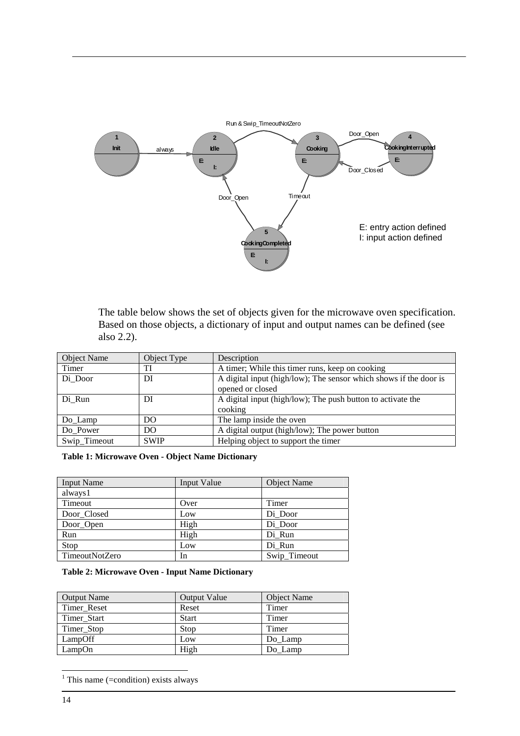

The table below shows the set of objects given for the microwave oven specification. Based on those objects, a dictionary of input and output names can be defined (see also 2.2).

| Object Name  | Object Type | Description                                                                           |
|--------------|-------------|---------------------------------------------------------------------------------------|
| Timer        | TI          | A timer; While this timer runs, keep on cooking                                       |
| Di Door      | DI          | A digital input (high/low); The sensor which shows if the door is<br>opened or closed |
| Di Run       | DI          | A digital input (high/low); The push button to activate the<br>cooking                |
| Do_Lamp      | DO          | The lamp inside the oven                                                              |
| Do Power     | DO          | A digital output (high/low); The power button                                         |
| Swip_Timeout | <b>SWIP</b> | Helping object to support the timer                                                   |

**Table 1: Microwave Oven - Object Name Dictionary** 

| <b>Input Name</b>     | Input Value | <b>Object Name</b> |
|-----------------------|-------------|--------------------|
| always1               |             |                    |
| Timeout               | Over        | Timer              |
| Door Closed           | Low         | Di_Door            |
| Door_Open             | High        | Di_Door            |
| Run                   | High        | Di Run             |
| Stop                  | Low         | Di Run             |
| <b>TimeoutNotZero</b> | In          | Swip_Timeout       |

#### **Table 2: Microwave Oven - Input Name Dictionary**

| <b>Output Name</b> | <b>Output Value</b> | Object Name |
|--------------------|---------------------|-------------|
| Timer Reset        | Reset               | Timer       |
| Timer Start        | <b>Start</b>        | Timer       |
| Timer_Stop         | Stop                | Timer       |
| LampOff            | Low                 | Do Lamp     |
| LampOn             | High                | Do Lamp     |

<sup>&</sup>lt;sup>1</sup> This name (=condition) exists always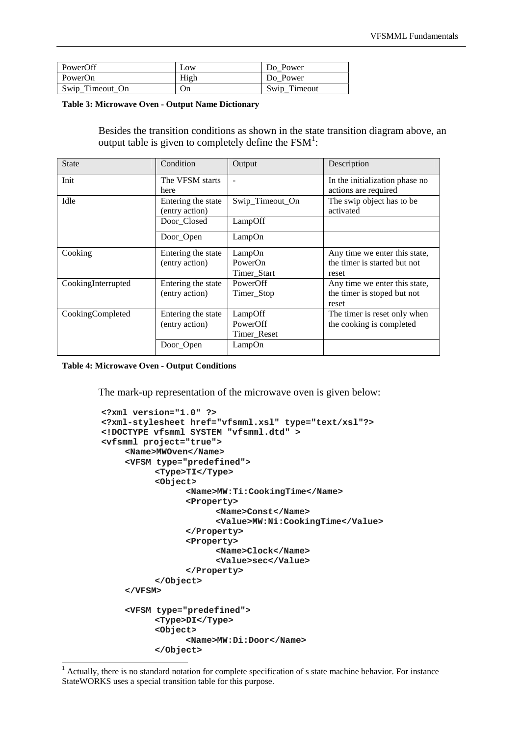| PowerOff        | Low  | Do Power     |
|-----------------|------|--------------|
| PowerOn         | High | Do Power     |
| Swip_Timeout_On | On   | Swip_Timeout |

**Table 3: Microwave Oven - Output Name Dictionary** 

Besides the transition conditions as shown in the state transition diagram above, an output table is given to completely define the  $FSM^1$ :

| <b>State</b>       | Condition                            | Output                   | Description                                            |
|--------------------|--------------------------------------|--------------------------|--------------------------------------------------------|
| Init               | The VFSM starts<br>here              | $\overline{\phantom{0}}$ | In the initialization phase no<br>actions are required |
| Idle               | Entering the state<br>(entry action) | Swip_Timeout_On          | The swip object has to be<br>activated                 |
|                    | Door_Closed                          | LampOff                  |                                                        |
|                    | Door_Open                            | LampOn                   |                                                        |
| Cooking            | Entering the state                   | LampOn                   | Any time we enter this state,                          |
|                    | (entry action)                       | PowerOn                  | the timer is started but not                           |
|                    |                                      | Timer Start              | reset                                                  |
| CookingInterrupted | Entering the state                   | PowerOff                 | Any time we enter this state,                          |
|                    | (entry action)                       | Timer_Stop               | the timer is stoped but not<br>reset                   |
| CookingCompleted   | Entering the state                   | LampOff                  | The timer is reset only when                           |
|                    | (entry action)                       | PowerOff                 | the cooking is completed                               |
|                    |                                      | Timer_Reset              |                                                        |
|                    | Door_Open                            | LampOn                   |                                                        |

**Table 4: Microwave Oven - Output Conditions** 

 $\overline{\phantom{a}}$ 

The mark-up representation of the microwave oven is given below:

```
<?xml version="1.0" ?> 
<?xml-stylesheet href="vfsmml.xsl" type="text/xsl"?> 
<!DOCTYPE vfsmml SYSTEM "vfsmml.dtd" > 
<vfsmml project="true"> 
     <Name>MWOven</Name> 
     <VFSM type="predefined"> 
           <Type>TI</Type> 
           <Object> 
                 <Name>MW:Ti:CookingTime</Name> 
                 <Property> 
                       <Name>Const</Name> 
                       <Value>MW:Ni:CookingTime</Value> 
                 </Property> 
                 <Property> 
                       <Name>Clock</Name> 
                       <Value>sec</Value> 
                 </Property> 
           </Object> 
     </VFSM> 
     <VFSM type="predefined"> 
           <Type>DI</Type> 
           <Object> 
                 <Name>MW:Di:Door</Name> 
           </Object>
```
<sup>&</sup>lt;sup>1</sup> Actually, there is no standard notation for complete specification of s state machine behavior. For instance StateWORKS uses a special transition table for this purpose.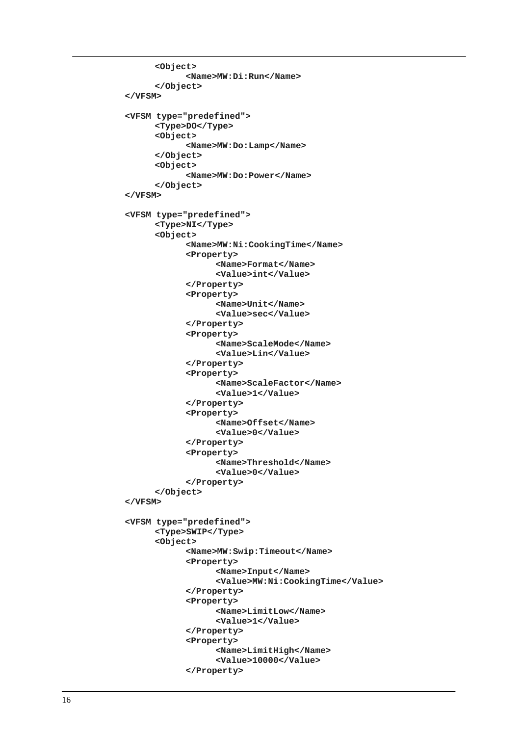```
<Object> 
            <Name>MW:Di:Run</Name> 
      </Object> 
</VFSM> 
<VFSM type="predefined"> 
      <Type>DO</Type> 
      <Object> 
            <Name>MW:Do:Lamp</Name> 
      </Object> 
      <Object> 
            <Name>MW:Do:Power</Name> 
      </Object> 
</VFSM> 
<VFSM type="predefined"> 
      <Type>NI</Type> 
      <Object> 
            <Name>MW:Ni:CookingTime</Name> 
            <Property> 
                   <Name>Format</Name> 
                   <Value>int</Value> 
            </Property> 
            <Property> 
                   <Name>Unit</Name> 
                   <Value>sec</Value> 
            </Property> 
            <Property> 
                   <Name>ScaleMode</Name> 
                   <Value>Lin</Value> 
            </Property> 
            <Property> 
                   <Name>ScaleFactor</Name> 
                   <Value>1</Value> 
            </Property> 
            <Property> 
                  <Name>Offset</Name> 
                  <Value>0</Value> 
            </Property> 
            <Property> 
                  <Name>Threshold</Name> 
                   <Value>0</Value> 
            </Property> 
      </Object> 
</VFSM> 
<VFSM type="predefined"> 
      <Type>SWIP</Type> 
      <Object> 
            <Name>MW:Swip:Timeout</Name> 
            <Property> 
                   <Name>Input</Name> 
                   <Value>MW:Ni:CookingTime</Value> 
            </Property> 
            <Property> 
                   <Name>LimitLow</Name> 
                   <Value>1</Value> 
            </Property> 
            <Property> 
                   <Name>LimitHigh</Name> 
                   <Value>10000</Value> 
            </Property>
```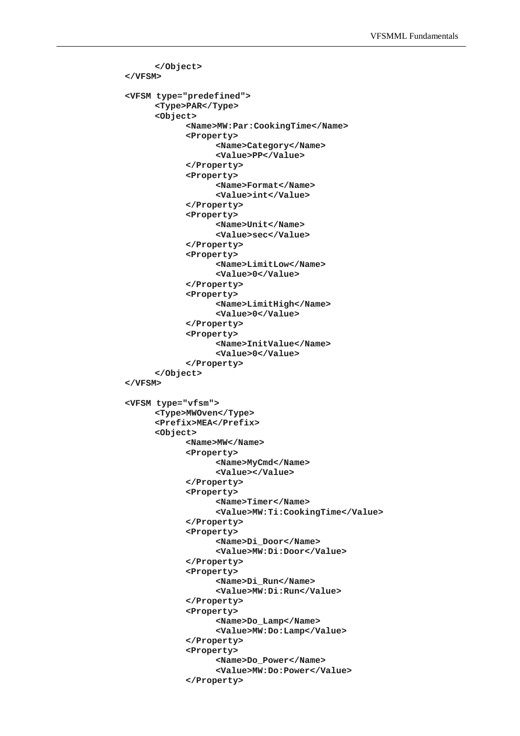```
</Object> 
</VFSM> 
<VFSM type="predefined"> 
      <Type>PAR</Type> 
      <Object> 
            <Name>MW:Par:CookingTime</Name> 
            <Property> 
                   <Name>Category</Name> 
                   <Value>PP</Value> 
            </Property> 
            <Property> 
                   <Name>Format</Name> 
                   <Value>int</Value> 
            </Property> 
            <Property> 
                   <Name>Unit</Name> 
                   <Value>sec</Value> 
            </Property> 
            <Property> 
                   <Name>LimitLow</Name> 
                   <Value>0</Value> 
            </Property> 
            <Property> 
                   <Name>LimitHigh</Name> 
                   <Value>0</Value> 
            </Property> 
            <Property> 
                   <Name>InitValue</Name> 
                   <Value>0</Value> 
            </Property> 
      </Object> 
</VFSM> 
<VFSM type="vfsm"> 
      <Type>MWOven</Type> 
      <Prefix>MEA</Prefix> 
      <Object> 
            <Name>MW</Name> 
            <Property> 
                   <Name>MyCmd</Name> 
                   <Value></Value> 
            </Property> 
            <Property> 
                   <Name>Timer</Name> 
                   <Value>MW:Ti:CookingTime</Value> 
            </Property> 
            <Property> 
                   <Name>Di_Door</Name> 
                   <Value>MW:Di:Door</Value> 
            </Property> 
            <Property> 
                   <Name>Di_Run</Name> 
                   <Value>MW:Di:Run</Value> 
            </Property> 
            <Property> 
                   <Name>Do_Lamp</Name> 
                   <Value>MW:Do:Lamp</Value> 
            </Property> 
            <Property> 
                   <Name>Do_Power</Name> 
                   <Value>MW:Do:Power</Value> 
            </Property>
```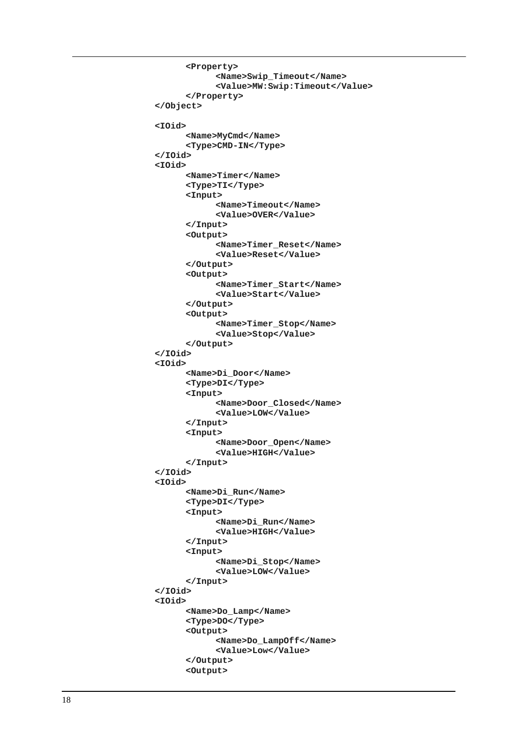```
<Property> 
            <Name>Swip_Timeout</Name> 
            <Value>MW:Swip:Timeout</Value> 
      </Property> 
</Object> 
<IOid> 
      <Name>MyCmd</Name> 
      <Type>CMD-IN</Type> 
</IOid> 
<IOid> 
      <Name>Timer</Name> 
      <Type>TI</Type> 
      <Input> 
            <Name>Timeout</Name> 
            <Value>OVER</Value> 
      </Input> 
      <Output> 
             <Name>Timer_Reset</Name> 
             <Value>Reset</Value> 
      </Output> 
      <Output> 
             <Name>Timer_Start</Name> 
             <Value>Start</Value> 
      </Output> 
      <Output> 
             <Name>Timer_Stop</Name> 
             <Value>Stop</Value> 
      </Output> 
</IOid> 
<IOid> 
      <Name>Di_Door</Name> 
      <Type>DI</Type> 
      <Input> 
            <Name>Door_Closed</Name> 
            <Value>LOW</Value> 
      </Input> 
      <Input> 
            <Name>Door_Open</Name> 
            <Value>HIGH</Value> 
      </Input> 
</IOid> 
<IOid> 
      <Name>Di_Run</Name> 
      <Type>DI</Type> 
      <Input> 
            <Name>Di_Run</Name> 
            <Value>HIGH</Value> 
      </Input> 
      <Input> 
            <Name>Di_Stop</Name> 
            <Value>LOW</Value> 
      </Input> 
</IOid> 
<IOid> 
      <Name>Do_Lamp</Name> 
      <Type>DO</Type> 
      <Output> 
            <Name>Do_LampOff</Name> 
            <Value>Low</Value> 
      </Output> 
      <Output>
```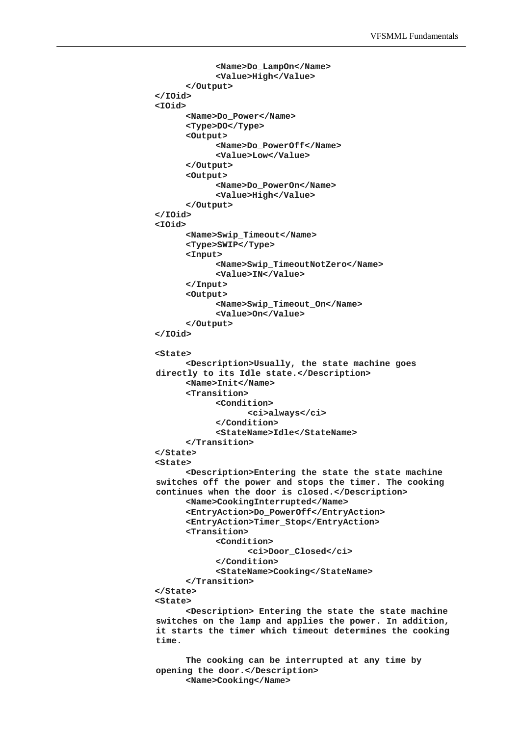```
<Name>Do_LampOn</Name> 
            <Value>High</Value> 
      </Output> 
</IOid> 
<IOid> 
      <Name>Do_Power</Name> 
      <Type>DO</Type> 
      <Output> 
            <Name>Do_PowerOff</Name> 
            <Value>Low</Value> 
      </Output> 
      <Output> 
            <Name>Do_PowerOn</Name> 
            <Value>High</Value> 
      </Output> 
</IOid> 
<IOid> 
      <Name>Swip_Timeout</Name> 
      <Type>SWIP</Type> 
      <Input> 
            <Name>Swip_TimeoutNotZero</Name> 
            <Value>IN</Value> 
      </Input> 
      <Output> 
            <Name>Swip_Timeout_On</Name> 
            <Value>On</Value> 
      </Output> 
</IOid> 
<State> 
      <Description>Usually, the state machine goes 
directly to its Idle state.</Description> 
      <Name>Init</Name> 
      <Transition> 
            <Condition> 
                   <ci>always</ci> 
            </Condition> 
            <StateName>Idle</StateName> 
      </Transition> 
</State> 
<State> 
      <Description>Entering the state the state machine 
switches off the power and stops the timer. The cooking 
continues when the door is closed.</Description> 
      <Name>CookingInterrupted</Name> 
      <EntryAction>Do_PowerOff</EntryAction> 
      <EntryAction>Timer_Stop</EntryAction> 
      <Transition> 
            <Condition> 
                   <ci>Door_Closed</ci> 
            </Condition> 
            <StateName>Cooking</StateName> 
      </Transition> 
</State> 
<State> 
      <Description> Entering the state the state machine 
switches on the lamp and applies the power. In addition, 
it starts the timer which timeout determines the cooking 
time. 
      The cooking can be interrupted at any time by
```

```
opening the door.</Description> 
      <Name>Cooking</Name>
```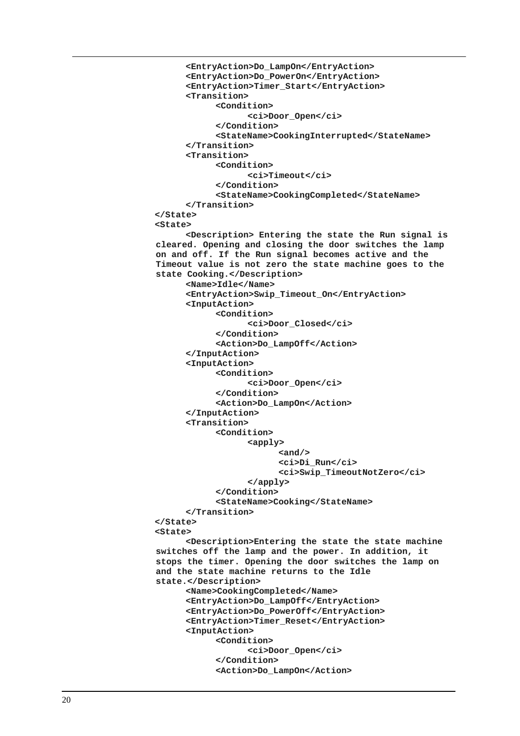```
<EntryAction>Do_LampOn</EntryAction> 
      <EntryAction>Do_PowerOn</EntryAction> 
      <EntryAction>Timer_Start</EntryAction> 
      <Transition> 
            <Condition> 
                   <ci>Door_Open</ci> 
            </Condition> 
            <StateName>CookingInterrupted</StateName> 
      </Transition> 
      <Transition> 
            <Condition> 
                   <ci>Timeout</ci> 
            </Condition> 
            <StateName>CookingCompleted</StateName> 
      </Transition> 
</State> 
<State> 
      <Description> Entering the state the Run signal is 
cleared. Opening and closing the door switches the lamp 
on and off. If the Run signal becomes active and the 
Timeout value is not zero the state machine goes to the 
state Cooking.</Description> 
      <Name>Idle</Name> 
      <EntryAction>Swip_Timeout_On</EntryAction> 
      <InputAction> 
            <Condition> 
                   <ci>Door_Closed</ci> 
            </Condition> 
            <Action>Do_LampOff</Action> 
      </InputAction> 
      <InputAction> 
            <Condition> 
                  <ci>Door_Open</ci> 
            </Condition> 
            <Action>Do_LampOn</Action> 
      </InputAction> 
      <Transition> 
            <Condition> 
                  <apply> 
                         <and/> 
                         <ci>Di_Run</ci> 
                         <ci>Swip_TimeoutNotZero</ci> 
                   </apply> 
            </Condition> 
            <StateName>Cooking</StateName> 
      </Transition> 
</State> 
<State> 
      <Description>Entering the state the state machine 
switches off the lamp and the power. In addition, it 
stops the timer. Opening the door switches the lamp on 
and the state machine returns to the Idle 
state.</Description> 
      <Name>CookingCompleted</Name> 
      <EntryAction>Do_LampOff</EntryAction> 
      <EntryAction>Do_PowerOff</EntryAction> 
      <EntryAction>Timer_Reset</EntryAction> 
      <InputAction> 
            <Condition> 
                   <ci>Door_Open</ci> 
            </Condition> 
            <Action>Do_LampOn</Action>
```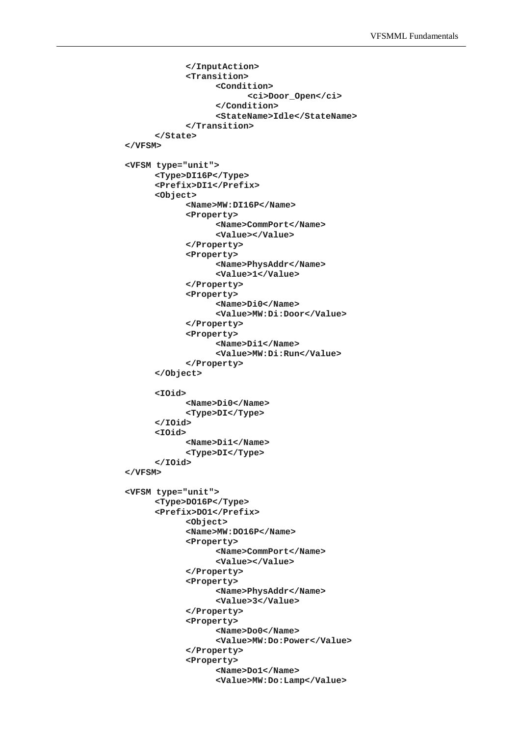```
</InputAction> 
            <Transition> 
                   <Condition> 
                          <ci>Door_Open</ci> 
                   </Condition> 
                   <StateName>Idle</StateName> 
            </Transition> 
      </State> 
</VFSM> 
<VFSM type="unit"> 
      <Type>DI16P</Type> 
      <Prefix>DI1</Prefix> 
      <Object> 
            <Name>MW:DI16P</Name> 
            <Property> 
                   <Name>CommPort</Name> 
                   <Value></Value> 
            </Property> 
            <Property> 
                   <Name>PhysAddr</Name> 
                   <Value>1</Value> 
            </Property> 
            <Property> 
                   <Name>Di0</Name> 
                   <Value>MW:Di:Door</Value> 
            </Property> 
            <Property> 
                   <Name>Di1</Name> 
                   <Value>MW:Di:Run</Value> 
            </Property> 
      </Object> 
      <IOid> 
            <Name>Di0</Name> 
            <Type>DI</Type> 
      </IOid> 
      <IOid> 
            <Name>Di1</Name> 
            <Type>DI</Type> 
      </IOid> 
</VFSM> 
<VFSM type="unit"> 
      <Type>DO16P</Type> 
      <Prefix>DO1</Prefix> 
            <Object> 
            <Name>MW:DO16P</Name> 
            <Property> 
                   <Name>CommPort</Name> 
                   <Value></Value> 
            </Property> 
            <Property> 
                   <Name>PhysAddr</Name> 
                   <Value>3</Value> 
            </Property> 
            <Property> 
                   <Name>Do0</Name> 
                   <Value>MW:Do:Power</Value> 
            </Property> 
            <Property> 
                   <Name>Do1</Name> 
                   <Value>MW:Do:Lamp</Value>
```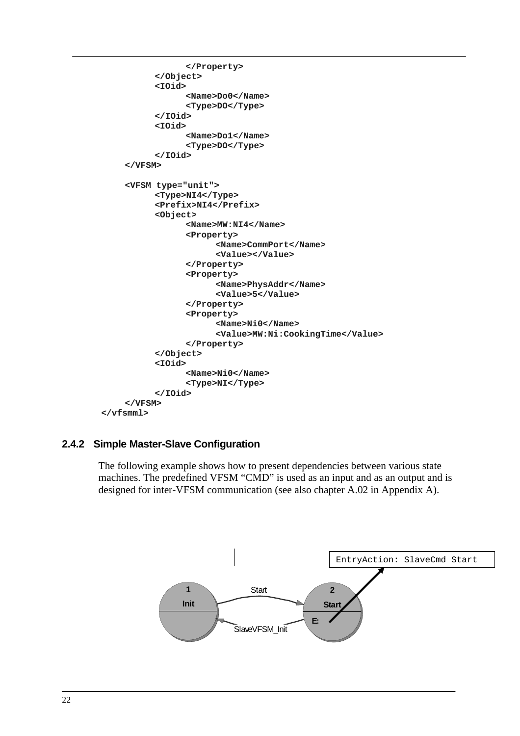```
</Property> 
           </Object> 
           <IOid> 
                  <Name>Do0</Name> 
                  <Type>DO</Type> 
           </IOid> 
           <IOid> 
                  <Name>Do1</Name> 
                  <Type>DO</Type> 
           </IOid> 
     </VFSM> 
     <VFSM type="unit"> 
           <Type>NI4</Type> 
           <Prefix>NI4</Prefix> 
           <Object> 
                  <Name>MW:NI4</Name> 
                  <Property> 
                        <Name>CommPort</Name> 
                        <Value></Value> 
                  </Property> 
                  <Property> 
                        <Name>PhysAddr</Name> 
                        <Value>5</Value> 
                  </Property> 
                  <Property> 
                        <Name>Ni0</Name> 
                        <Value>MW:Ni:CookingTime</Value> 
                  </Property> 
           </Object> 
           <IOid> 
                  <Name>Ni0</Name> 
                  <Type>NI</Type> 
           </IOid> 
     </VFSM> 
</vfsmml>
```
## **2.4.2 Simple Master-Slave Configuration**

The following example shows how to present dependencies between various state machines. The predefined VFSM "CMD" is used as an input and as an output and is designed for inter-VFSM communication (see also chapter A.02 in Appendix A).

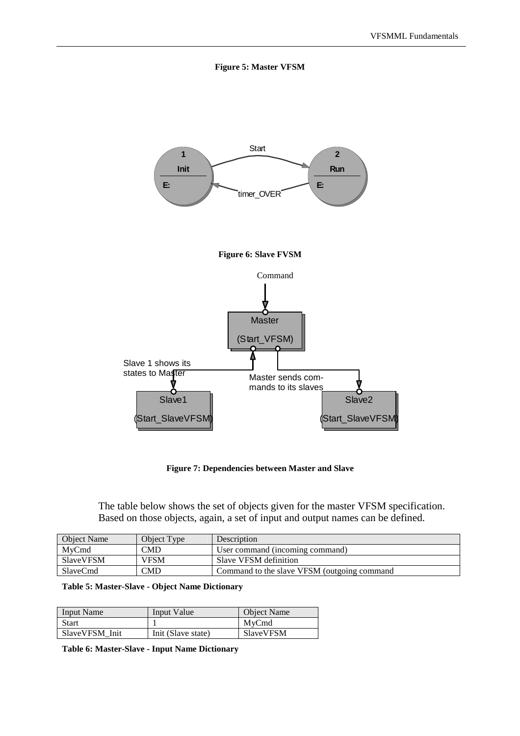



**Figure 7: Dependencies between Master and Slave** 

The table below shows the set of objects given for the master VFSM specification. Based on those objects, again, a set of input and output names can be defined.

| <b>Object Name</b> | Object Type                      | Description                                 |
|--------------------|----------------------------------|---------------------------------------------|
| MvCmd              | CMD                              | User command (incoming command)             |
| SlaveVFSM          | <b>VFSM</b>                      | Slave VFSM definition                       |
| SlaveCmd           | $\mathbb{C}\mathbf{M}\mathbf{D}$ | Command to the slave VFSM (outgoing command |

**Table 5: Master-Slave - Object Name Dictionary** 

| <b>Input Name</b> | Input Value        | <b>Object Name</b> |
|-------------------|--------------------|--------------------|
| <b>Start</b>      |                    | MvCmd              |
| SlaveVFSM Init    | Init (Slave state) | SlaveVFSM          |

**Table 6: Master-Slave - Input Name Dictionary**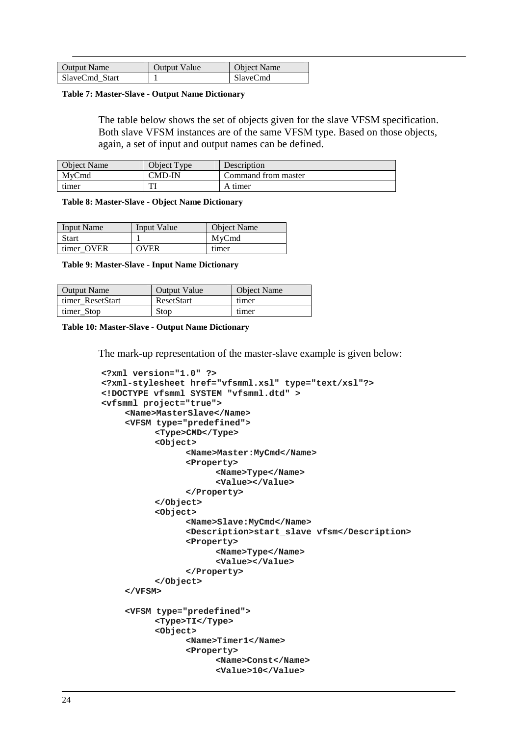| Output Name    | Output Value | <b>Object Name</b> |
|----------------|--------------|--------------------|
| SlaveCmd Start |              | <b>SlaveCmd</b>    |

**Table 7: Master-Slave - Output Name Dictionary** 

The table below shows the set of objects given for the slave VFSM specification. Both slave VFSM instances are of the same VFSM type. Based on those objects, again, a set of input and output names can be defined.

| <b>Object Name</b> | Object Type | Description         |
|--------------------|-------------|---------------------|
| MvCmd              | CMD-IN      | Command from master |
| timer              | וחז         | A timer             |

**Table 8: Master-Slave - Object Name Dictionary** 

| <b>Input Name</b> | Input Value | <b>Object Name</b> |
|-------------------|-------------|--------------------|
| <b>Start</b>      |             | MvCmd              |
| timer OVER        | OVER        | timer              |

**Table 9: Master-Slave - Input Name Dictionary** 

| <b>Output Name</b> | <b>Output Value</b> | <b>Object Name</b> |
|--------------------|---------------------|--------------------|
| timer ResetStart   | ResetStart          | timer              |
| timer Stop         | Stop                | timer              |

#### **Table 10: Master-Slave - Output Name Dictionary**

The mark-up representation of the master-slave example is given below:

```
<?xml version="1.0" ?> 
<?xml-stylesheet href="vfsmml.xsl" type="text/xsl"?> 
<!DOCTYPE vfsmml SYSTEM "vfsmml.dtd" > 
<vfsmml project="true"> 
     <Name>MasterSlave</Name> 
     <VFSM type="predefined"> 
           <Type>CMD</Type> 
           <Object> 
                 <Name>Master:MyCmd</Name> 
                 <Property> 
                       <Name>Type</Name> 
                       <Value></Value> 
                 </Property> 
           </Object> 
           <Object> 
                 <Name>Slave:MyCmd</Name> 
                 <Description>start_slave vfsm</Description> 
                 <Property> 
                       <Name>Type</Name> 
                       <Value></Value> 
                 </Property> 
           </Object> 
     </VFSM> 
     <VFSM type="predefined"> 
           <Type>TI</Type> 
           <Object> 
                 <Name>Timer1</Name> 
                 <Property> 
                       <Name>Const</Name> 
                       <Value>10</Value>
```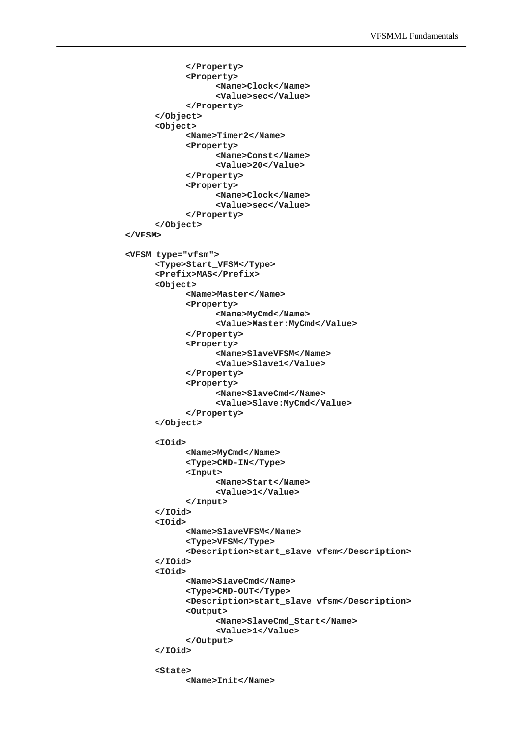```
</Property> 
            <Property> 
                   <Name>Clock</Name> 
                   <Value>sec</Value> 
            </Property> 
      </Object> 
      <Object> 
            <Name>Timer2</Name> 
            <Property> 
                   <Name>Const</Name> 
                   <Value>20</Value> 
            </Property> 
            <Property> 
                   <Name>Clock</Name> 
                   <Value>sec</Value> 
            </Property> 
      </Object> 
</VFSM> 
<VFSM type="vfsm"> 
      <Type>Start_VFSM</Type> 
      <Prefix>MAS</Prefix> 
      <Object> 
            <Name>Master</Name> 
            <Property> 
                   <Name>MyCmd</Name> 
                   <Value>Master:MyCmd</Value> 
            </Property> 
            <Property> 
                   <Name>SlaveVFSM</Name> 
                   <Value>Slave1</Value> 
            </Property> 
            <Property> 
                   <Name>SlaveCmd</Name> 
                   <Value>Slave:MyCmd</Value> 
            </Property> 
      </Object> 
      <IOid> 
            <Name>MyCmd</Name> 
            <Type>CMD-IN</Type> 
            <Input> 
                  <Name>Start</Name> 
                   <Value>1</Value> 
            </Input> 
      </IOid> 
      <IOid> 
            <Name>SlaveVFSM</Name> 
            <Type>VFSM</Type> 
            <Description>start_slave vfsm</Description> 
      </IOid> 
      <IOid> 
            <Name>SlaveCmd</Name> 
            <Type>CMD-OUT</Type> 
            <Description>start_slave vfsm</Description> 
            <Output> 
                   <Name>SlaveCmd_Start</Name> 
                   <Value>1</Value> 
            </Output> 
      </IOid> 
      <State> 
            <Name>Init</Name>
```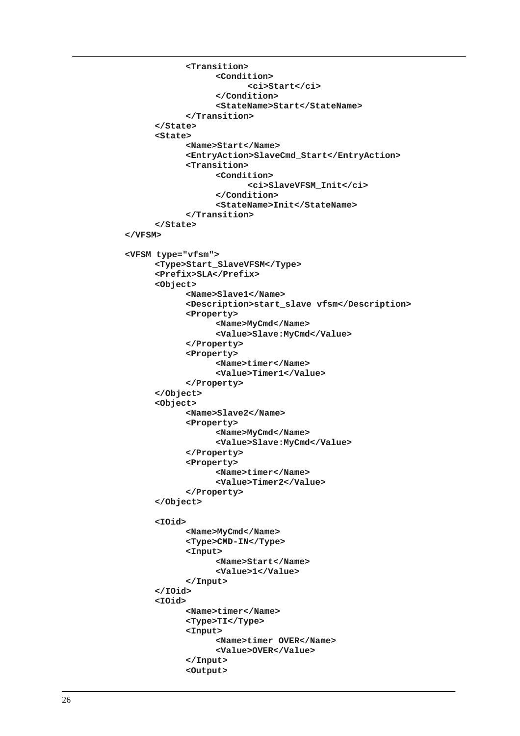```
<Transition> 
                   <Condition> 
                         <ci>Start</ci> 
                   </Condition> 
                   <StateName>Start</StateName> 
            </Transition> 
      </State> 
      <State> 
            <Name>Start</Name> 
            <EntryAction>SlaveCmd_Start</EntryAction> 
            <Transition> 
                  <Condition> 
                         <ci>SlaveVFSM_Init</ci> 
                   </Condition> 
                   <StateName>Init</StateName> 
            </Transition> 
      </State> 
</VFSM> 
<VFSM type="vfsm"> 
      <Type>Start_SlaveVFSM</Type> 
      <Prefix>SLA</Prefix> 
      <Object> 
            <Name>Slave1</Name> 
            <Description>start_slave vfsm</Description> 
            <Property> 
                   <Name>MyCmd</Name> 
                   <Value>Slave:MyCmd</Value> 
            </Property> 
            <Property> 
                   <Name>timer</Name> 
                   <Value>Timer1</Value> 
            </Property> 
      </Object> 
      <Object> 
            <Name>Slave2</Name> 
            <Property> 
                   <Name>MyCmd</Name> 
                   <Value>Slave:MyCmd</Value> 
            </Property> 
            <Property> 
                   <Name>timer</Name> 
                   <Value>Timer2</Value> 
            </Property> 
      </Object> 
      <IOid> 
            <Name>MyCmd</Name> 
            <Type>CMD-IN</Type> 
            <Input> 
                   <Name>Start</Name> 
                   <Value>1</Value> 
            </Input> 
      </IOid> 
      <IOid> 
            <Name>timer</Name> 
            <Type>TI</Type> 
            <Input> 
                   <Name>timer_OVER</Name> 
                   <Value>OVER</Value> 
            </Input> 
            <Output>
```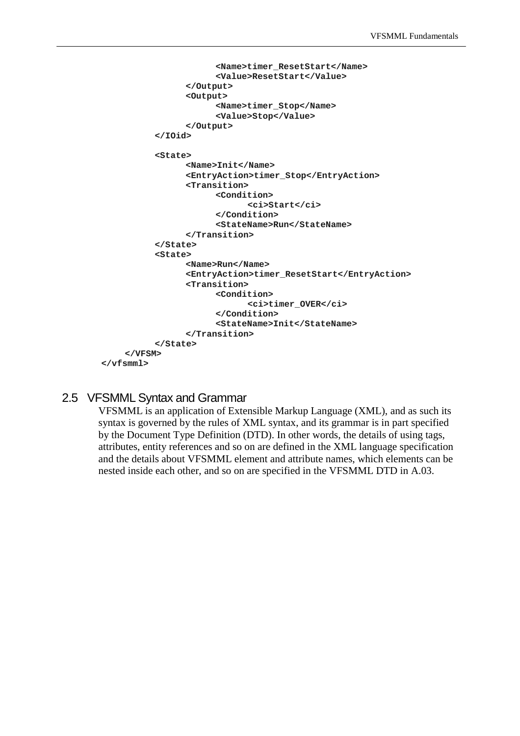```
<Name>timer_ResetStart</Name> 
                        <Value>ResetStart</Value> 
                 </Output> 
                 <Output> 
                        <Name>timer_Stop</Name> 
                        <Value>Stop</Value> 
                 </Output> 
           </IOid> 
           <State> 
                 <Name>Init</Name> 
                 <EntryAction>timer_Stop</EntryAction> 
                 <Transition> 
                       <Condition> 
                              <ci>Start</ci> 
                        </Condition> 
                        <StateName>Run</StateName> 
                 </Transition> 
           </State> 
           <State> 
                 <Name>Run</Name> 
                 <EntryAction>timer_ResetStart</EntryAction> 
                 <Transition> 
                        <Condition> 
                              <ci>timer_OVER</ci> 
                        </Condition> 
                        <StateName>Init</StateName> 
                 </Transition> 
           </State> 
    </VFSM> 
</vfsmml>
```
## 2.5 VFSMML Syntax and Grammar

VFSMML is an application of Extensible Markup Language (XML), and as such its syntax is governed by the rules of XML syntax, and its grammar is in part specified by the Document Type Definition (DTD). In other words, the details of using tags, attributes, entity references and so on are defined in the XML language specification and the details about VFSMML element and attribute names, which elements can be nested inside each other, and so on are specified in the VFSMML DTD in A.03.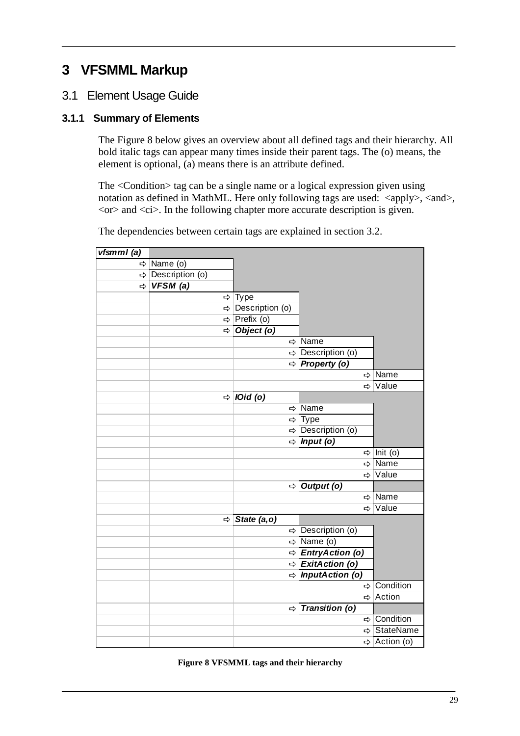## **3 VFSMML Markup**

## 3.1 Element Usage Guide

## **3.1.1 Summary of Elements**

The Figure 8 below gives an overview about all defined tags and their hierarchy. All bold italic tags can appear many times inside their parent tags. The (o) means, the element is optional, (a) means there is an attribute defined.

The <Condition> tag can be a single name or a logical expression given using notation as defined in MathML. Here only following tags are used: <apply>, <and>,  $<$ or $>$  and  $<$ ci $>$ . In the following chapter more accurate description is given.

| vfsmml(a)     |                 |   |                        |                                   |                         |
|---------------|-----------------|---|------------------------|-----------------------------------|-------------------------|
| $\Rightarrow$ | Name (o)        |   |                        |                                   |                         |
| $\Rightarrow$ | Description (o) |   |                        |                                   |                         |
| ⇨             | VFSM(a)         |   |                        |                                   |                         |
|               |                 | ⇨ | Type                   |                                   |                         |
|               |                 | ⇨ | Description (o)        |                                   |                         |
|               |                 | ⇨ | Prefix (o)             |                                   |                         |
|               |                 | ⇨ | Object (o)             |                                   |                         |
|               |                 |   |                        | $\Rightarrow$ Name                |                         |
|               |                 |   |                        | → Description (o)                 |                         |
|               |                 |   |                        | $\Leftrightarrow$ Property (o)    |                         |
|               |                 |   |                        | ⇨                                 | Name                    |
|               |                 |   |                        | ⇨                                 | Value                   |
|               |                 | ⇨ | <i><b>IOid (o)</b></i> |                                   |                         |
|               |                 |   | ⇨                      | Name                              |                         |
|               |                 |   |                        | $Arr$ Type                        |                         |
|               |                 |   |                        | $\Rightarrow$ Description (o)     |                         |
|               |                 |   | ⇨                      | $lnput($ o $)$                    |                         |
|               |                 |   |                        | ⇨                                 | Init (o)                |
|               |                 |   |                        | ⇨                                 | Name                    |
|               |                 |   |                        | ⇨                                 | Value                   |
|               |                 |   | ⇨                      | Output (o)                        |                         |
|               |                 |   |                        | $\Rightarrow$                     | Name                    |
|               |                 |   |                        |                                   | ⇒ Value                 |
|               |                 | ⇨ | State (a, o)           |                                   |                         |
|               |                 |   |                        | $\Leftrightarrow$ Description (o) |                         |
|               |                 |   |                        | $\Rightarrow$ Name (o)            |                         |
|               |                 |   | ⇨                      | <b>EntryAction (o)</b>            |                         |
|               |                 |   | ⇨                      | ExitAction (o)                    |                         |
|               |                 |   | $\Rightarrow$          | <b>InputAction (o)</b>            |                         |
|               |                 |   |                        | ⇨                                 | Condition               |
|               |                 |   |                        | $\Rightarrow$                     | Action                  |
|               |                 |   | ⇨                      | <b>Transition (o)</b>             |                         |
|               |                 |   |                        |                                   | $\Rightarrow$ Condition |
|               |                 |   |                        | ⇨                                 | <b>StateName</b>        |
|               |                 |   |                        |                                   | ⇔ Action (o)            |

The dependencies between certain tags are explained in section 3.2.

**Figure 8 VFSMML tags and their hierarchy**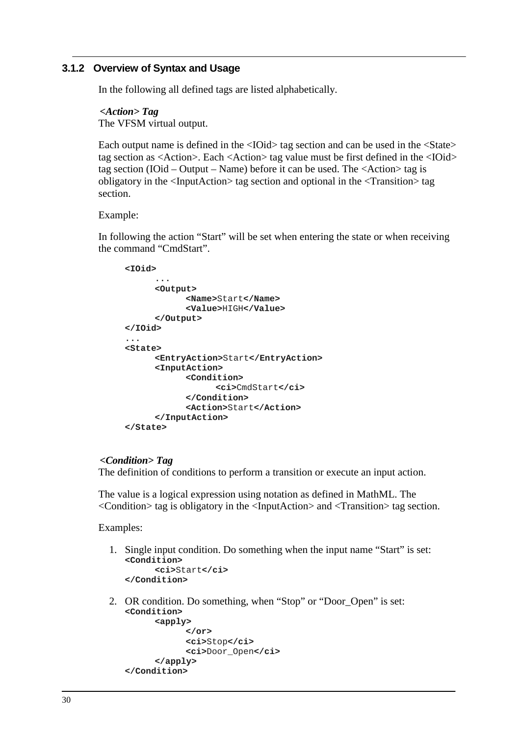## **3.1.2 Overview of Syntax and Usage**

In the following all defined tags are listed alphabetically.

*<Action> Tag*  The VFSM virtual output.

Each output name is defined in the <IOid> tag section and can be used in the <State> tag section as <Action>. Each <Action> tag value must be first defined in the <IOid> tag section (IOid – Output – Name) before it can be used. The <Action> tag is obligatory in the <InputAction> tag section and optional in the <Transition> tag section.

#### Example:

In following the action "Start" will be set when entering the state or when receiving the command "CmdStart".

```
<IOid> 
      ... 
      <Output> 
             <Name>Start</Name> 
             <Value>HIGH</Value> 
      </Output> 
</IOid> 
... 
<State> 
      <EntryAction>Start</EntryAction> 
      <InputAction> 
             <Condition> 
                   <ci>CmdStart</ci> 
             </Condition> 
             <Action>Start</Action> 
      </InputAction> 
</State>
```
#### *<Condition> Tag*

The definition of conditions to perform a transition or execute an input action.

The value is a logical expression using notation as defined in MathML. The <Condition> tag is obligatory in the <InputAction> and <Transition> tag section.

Examples:

1. Single input condition. Do something when the input name "Start" is set: **<Condition> <ci>**Start**</ci>** 

```
</Condition>
```
2. OR condition. Do something, when "Stop" or "Door\_Open" is set: **<Condition>** 

```
<apply> 
             </or> 
             <ci>Stop</ci> 
             <ci>Door_Open</ci> 
      </apply> 
</Condition>
```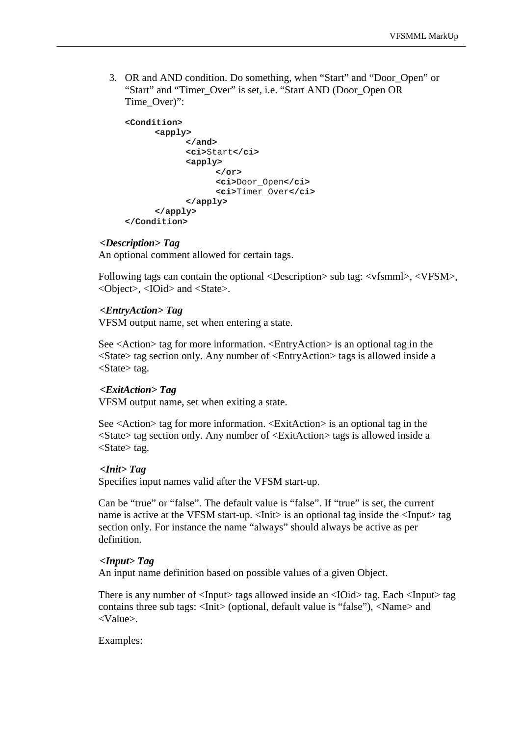3. OR and AND condition. Do something, when "Start" and "Door\_Open" or "Start" and "Timer\_Over" is set, i.e. "Start AND (Door\_Open OR Time\_Over)":

```
<Condition> 
      <apply> 
             </and> 
             <ci>Start</ci> 
             <apply> 
                    </or> 
                    <ci>Door_Open</ci> 
                    <ci>Timer_Over</ci> 
             </apply> 
      </apply> 
</Condition>
```
#### *<Description> Tag*

An optional comment allowed for certain tags.

Following tags can contain the optional <Description> sub tag: <vfsmml>, <VFSM>, <Object>, <IOid> and <State>.

#### *<EntryAction> Tag*

VFSM output name, set when entering a state.

See <Action> tag for more information. <EntryAction> is an optional tag in the <State> tag section only. Any number of <EntryAction> tags is allowed inside a <State> tag.

#### *<ExitAction> Tag*

VFSM output name, set when exiting a state.

See <Action> tag for more information. <ExitAction> is an optional tag in the <State> tag section only. Any number of <ExitAction> tags is allowed inside a <State> tag.

#### *<Init> Tag*

Specifies input names valid after the VFSM start-up.

Can be "true" or "false". The default value is "false". If "true" is set, the current name is active at the VFSM start-up. <Init> is an optional tag inside the  $\langle$ Input $\rangle$  tag section only. For instance the name "always" should always be active as per definition.

#### *<Input> Tag*

An input name definition based on possible values of a given Object.

There is any number of <Input> tags allowed inside an <IOid> tag. Each <Input> tag contains three sub tags: <Init> (optional, default value is "false"), <Name> and <Value>.

#### Examples: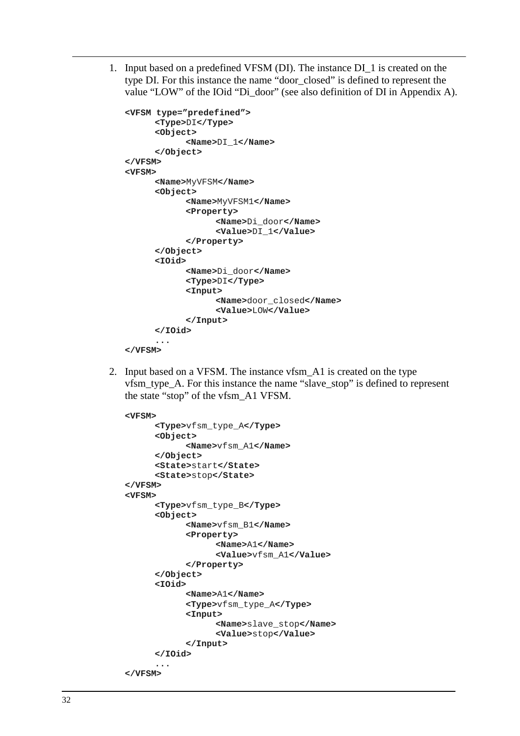1. Input based on a predefined VFSM (DI). The instance DI\_1 is created on the type DI. For this instance the name "door\_closed" is defined to represent the value "LOW" of the IOid "Di\_door" (see also definition of DI in Appendix A).

```
<VFSM type="predefined"> 
      <Type>DI</Type> 
      <Object> 
             <Name>DI_1</Name> 
      </Object> 
</VFSM> 
<VFSM> 
      <Name>MyVFSM</Name> 
      <Object> 
             <Name>MyVFSM1</Name> 
             <Property> 
                   <Name>Di_door</Name> 
                   <Value>DI_1</Value> 
             </Property> 
      </Object> 
      <IOid> 
             <Name>Di_door</Name> 
             <Type>DI</Type> 
             <Input> 
                   <Name>door_closed</Name> 
                   <Value>LOW</Value> 
             </Input> 
      </IOid> 
       ... 
</VFSM>
```
2. Input based on a VFSM. The instance vfsm\_A1 is created on the type vfsm\_type\_A. For this instance the name "slave\_stop" is defined to represent the state "stop" of the vfsm\_A1 VFSM.

```
<VFSM> 
      <Type>vfsm_type_A</Type> 
      <Object> 
             <Name>vfsm_A1</Name> 
      </Object> 
      <State>start</State> 
      <State>stop</State> 
</VFSM> 
<VFSM> 
      <Type>vfsm_type_B</Type> 
      <Object> 
             <Name>vfsm_B1</Name> 
             <Property> 
                   <Name>A1</Name> 
                   <Value>vfsm_A1</Value> 
             </Property> 
      </Object> 
      <IOid> 
             <Name>A1</Name> 
             <Type>vfsm_type_A</Type> 
             <Input> 
                   <Name>slave_stop</Name> 
                   <Value>stop</Value> 
             </Input> 
      </IOid> 
       ... 
</VFSM>
```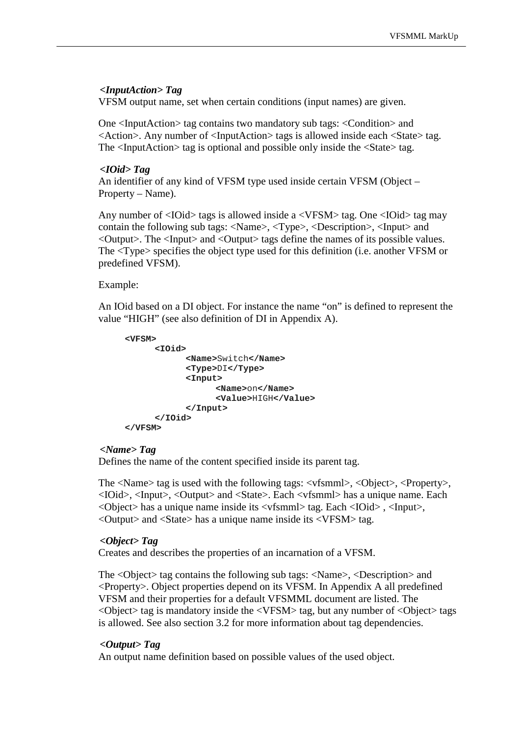## *<InputAction> Tag*

VFSM output name, set when certain conditions (input names) are given.

One <InputAction> tag contains two mandatory sub tags: <Condition> and  $\leq$ Action $\geq$ . Any number of  $\leq$ InputAction $\geq$  tags is allowed inside each  $\leq$ State $\geq$  tag. The <InputAction> tag is optional and possible only inside the <State> tag.

#### *<IOid> Tag*

An identifier of any kind of VFSM type used inside certain VFSM (Object – Property – Name).

Any number of <IOid> tags is allowed inside a <VFSM> tag. One <IOid> tag may contain the following sub tags: <Name>, <Type>, <Description>, <Input> and <Output>. The <Input> and <Output> tags define the names of its possible values. The <Type> specifies the object type used for this definition (i.e. another VFSM or predefined VFSM).

#### Example:

An IOid based on a DI object. For instance the name "on" is defined to represent the value "HIGH" (see also definition of DI in Appendix A).

```
<VFSM> 
      <IOid> 
             <Name>Switch</Name> 
             <Type>DI</Type> 
             <Input> 
                    <Name>on</Name> 
                    <Value>HIGH</Value> 
             </Input> 
      </IOid> 
</VFSM>
```
#### *<Name> Tag*

Defines the name of the content specified inside its parent tag.

The <Name> tag is used with the following tags: <vfsmml>, <Object>, <Property>, <IOid>, <Input>, <Output> and <State>. Each <vfsmml> has a unique name. Each <Object> has a unique name inside its <vfsmml> tag. Each <IOid> , <Input>, <Output> and <State> has a unique name inside its <VFSM> tag.

#### *<Object> Tag*

Creates and describes the properties of an incarnation of a VFSM.

The <Object> tag contains the following sub tags: <Name>, <Description> and <Property>. Object properties depend on its VFSM. In Appendix A all predefined VFSM and their properties for a default VFSMML document are listed. The  $\langle$ Object $>$  tag is mandatory inside the  $\langle$ VFSM $>$  tag, but any number of  $\langle$ Object $>$  tags is allowed. See also section 3.2 for more information about tag dependencies.

#### *<Output> Tag*

An output name definition based on possible values of the used object.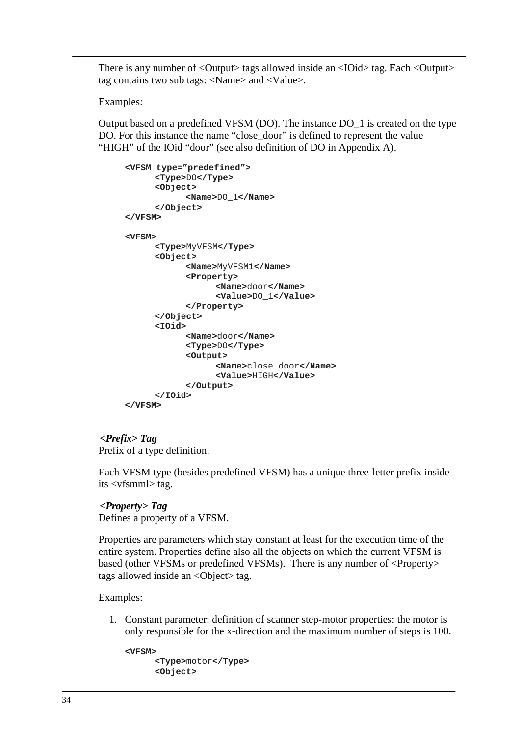There is any number of <Output> tags allowed inside an <IOid> tag. Each <Output> tag contains two sub tags: <Name> and <Value>.

Examples:

Output based on a predefined VFSM (DO). The instance DO\_1 is created on the type DO. For this instance the name "close\_door" is defined to represent the value "HIGH" of the IOid "door" (see also definition of DO in Appendix A).

```
<VFSM type="predefined"> 
      <Type>DO</Type> 
      <Object> 
            <Name>DO_1</Name> 
      </Object> 
</VFSM> 
<VFSM> 
      <Type>MyVFSM</Type> 
      <Object> 
            <Name>MyVFSM1</Name> 
             <Property> 
                   <Name>door</Name> 
                   <Value>DO_1</Value> 
            </Property> 
      </Object> 
      <IOid> 
             <Name>door</Name> 
            <Type>DO</Type> 
             <Output> 
                   <Name>close_door</Name> 
                   <Value>HIGH</Value> 
             </Output> 
      </IOid> 
</VFSM>
```
*<Prefix> Tag*  Prefix of a type definition.

Each VFSM type (besides predefined VFSM) has a unique three-letter prefix inside its <vfsmml> tag.

*<Property> Tag*  Defines a property of a VFSM.

Properties are parameters which stay constant at least for the execution time of the entire system. Properties define also all the objects on which the current VFSM is based (other VFSMs or predefined VFSMs). There is any number of <Property> tags allowed inside an <Object> tag.

Examples:

1. Constant parameter: definition of scanner step-motor properties: the motor is only responsible for the x-direction and the maximum number of steps is 100.

```
<VFSM> 
      <Type>motor</Type> 
      <Object>
```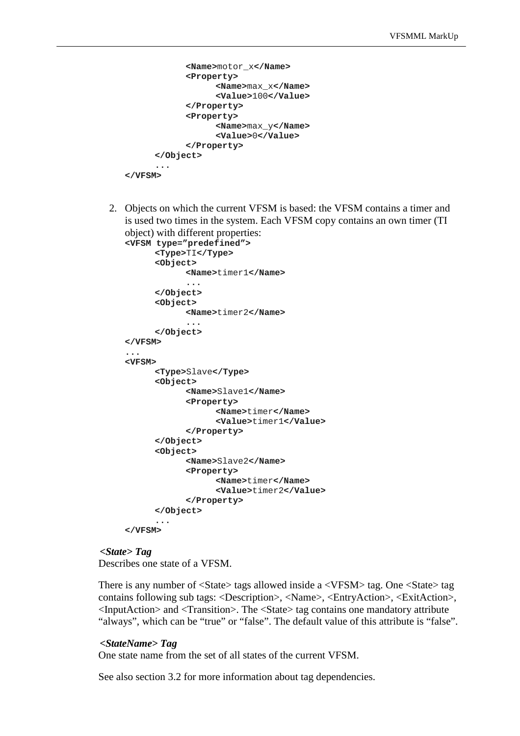```
<Name>motor_x</Name> 
             <Property> 
                   <Name>max_x</Name> 
                   <Value>100</Value> 
             </Property> 
             <Property> 
                   <Name>max_y</Name> 
                   <Value>0</Value> 
             </Property> 
      </Object> 
      ... 
</VFSM>
```
2. Objects on which the current VFSM is based: the VFSM contains a timer and is used two times in the system. Each VFSM copy contains an own timer (TI object) with different properties:

```
<VFSM type="predefined"> 
      <Type>TI</Type> 
      <Object> 
             <Name>timer1</Name> 
             ... 
      </Object> 
      <Object> 
             <Name>timer2</Name> 
             ... 
      </Object> 
</VFSM> 
... 
<VFSM> 
      <Type>Slave</Type> 
      <Object> 
             <Name>Slave1</Name> 
             <Property> 
                   <Name>timer</Name> 
                   <Value>timer1</Value> 
             </Property> 
      </Object> 
      <Object> 
             <Name>Slave2</Name> 
             <Property> 
                   <Name>timer</Name> 
                   <Value>timer2</Value> 
             </Property> 
      </Object> 
      ... 
</VFSM>
```
## *<State> Tag*

Describes one state of a VFSM.

There is any number of <State> tags allowed inside a <VFSM> tag. One <State> tag contains following sub tags: <Description>, <Name>, <EntryAction>, <ExitAction>, <InputAction> and <Transition>. The <State> tag contains one mandatory attribute "always", which can be "true" or "false". The default value of this attribute is "false".

#### *<StateName> Tag*

One state name from the set of all states of the current VFSM.

See also section 3.2 for more information about tag dependencies.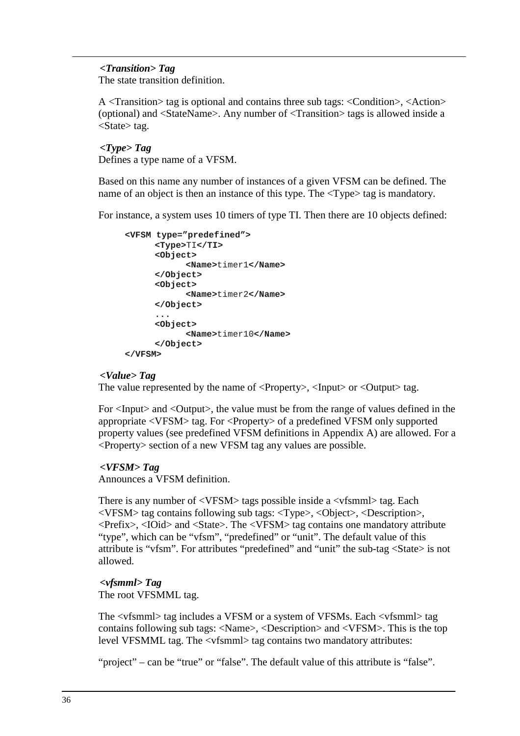## *<Transition> Tag*

The state transition definition.

A <Transition> tag is optional and contains three sub tags: <Condition>, <Action> (optional) and <StateName>. Any number of <Transition> tags is allowed inside a <State> tag.

### *<Type> Tag*

Defines a type name of a VFSM.

Based on this name any number of instances of a given VFSM can be defined. The name of an object is then an instance of this type. The  $\langle \text{Type} \rangle$  tag is mandatory.

For instance, a system uses 10 timers of type TI. Then there are 10 objects defined:

```
<VFSM type="predefined"> 
      <Type>TI</TI> 
      <Object> 
             <Name>timer1</Name> 
      </Object> 
      <Object> 
             <Name>timer2</Name> 
      </Object> 
      ... 
      <Object> 
             <Name>timer10</Name> 
      </Object> 
</VFSM>
```
#### *<Value> Tag*

The value represented by the name of  $\langle$ Property>,  $\langle$ Input $\rangle$  or  $\langle$ Output $\rangle$  tag.

For <Input> and <Output>, the value must be from the range of values defined in the appropriate <VFSM> tag. For <Property> of a predefined VFSM only supported property values (see predefined VFSM definitions in Appendix A) are allowed. For a <Property> section of a new VFSM tag any values are possible.

#### *<VFSM> Tag*

Announces a VFSM definition.

There is any number of  $\langle VFSM \rangle$  tags possible inside a  $\langle VFSM \rangle$  tag. Each <VFSM> tag contains following sub tags: <Type>, <Object>, <Description>, <Prefix>, <IOid> and <State>. The <VFSM> tag contains one mandatory attribute "type", which can be "vfsm", "predefined" or "unit". The default value of this attribute is "vfsm". For attributes "predefined" and "unit" the sub-tag <State> is not allowed.

#### *<vfsmml> Tag*

The root VFSMML tag.

The <vfsmml> tag includes a VFSM or a system of VFSMs. Each <vfsmml> tag contains following sub tags: <Name>, <Description> and <VFSM>. This is the top level VFSMML tag. The <vfsmml> tag contains two mandatory attributes:

"project" – can be "true" or "false". The default value of this attribute is "false".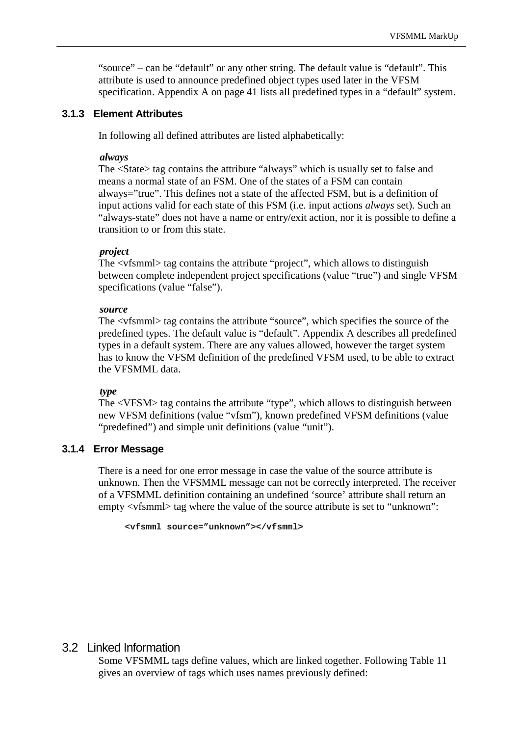"source" – can be "default" or any other string. The default value is "default". This attribute is used to announce predefined object types used later in the VFSM specification. Appendix A on page 41 lists all predefined types in a "default" system.

#### **3.1.3 Element Attributes**

In following all defined attributes are listed alphabetically:

#### *always*

The <State> tag contains the attribute "always" which is usually set to false and means a normal state of an FSM. One of the states of a FSM can contain always="true". This defines not a state of the affected FSM, but is a definition of input actions valid for each state of this FSM (i.e. input actions *always* set). Such an "always-state" does not have a name or entry/exit action, nor it is possible to define a transition to or from this state.

#### *project*

The <vfsmml> tag contains the attribute "project", which allows to distinguish between complete independent project specifications (value "true") and single VFSM specifications (value "false").

#### *source*

The <vfsmml> tag contains the attribute "source", which specifies the source of the predefined types. The default value is "default". Appendix A describes all predefined types in a default system. There are any values allowed, however the target system has to know the VFSM definition of the predefined VFSM used, to be able to extract the VFSMML data.

#### *type*

The <VFSM> tag contains the attribute "type", which allows to distinguish between new VFSM definitions (value "vfsm"), known predefined VFSM definitions (value "predefined") and simple unit definitions (value "unit").

#### **3.1.4 Error Message**

There is a need for one error message in case the value of the source attribute is unknown. Then the VFSMML message can not be correctly interpreted. The receiver of a VFSMML definition containing an undefined 'source' attribute shall return an empty  $\langle \text{vfsmm} \rangle$  tag where the value of the source attribute is set to "unknown":

```
<vfsmml source="unknown"></vfsmml>
```
## 3.2 Linked Information

Some VFSMML tags define values, which are linked together. Following Table 11 gives an overview of tags which uses names previously defined: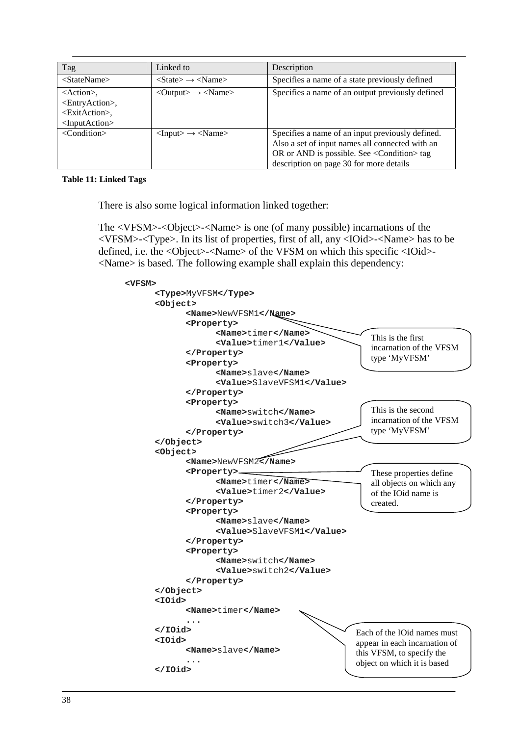| Tag                                                                                                                                           | Linked to                                                     | Description                                                                                                                                                                                               |
|-----------------------------------------------------------------------------------------------------------------------------------------------|---------------------------------------------------------------|-----------------------------------------------------------------------------------------------------------------------------------------------------------------------------------------------------------|
| $<$ StateName $>$                                                                                                                             | $\langle$ State> $\rightarrow$ $\langle$ Name>                | Specifies a name of a state previously defined                                                                                                                                                            |
| $\leq$ Action $\geq$ ,<br><entryaction>,<br/><exitaction>,<br/><math>\langle</math>InputAction<math>\rangle</math></exitaction></entryaction> | $\langle$ Output $\rangle \rightarrow \langle$ Name $\rangle$ | Specifies a name of an output previously defined                                                                                                                                                          |
| $\langle$ Condition $\rangle$                                                                                                                 | $\langle$ Input $\rangle \rightarrow \langle$ Name $\rangle$  | Specifies a name of an input previously defined.<br>Also a set of input names all connected with an<br>OR or AND is possible. See <condition> tag<br/>description on page 30 for more details</condition> |

#### **Table 11: Linked Tags**

There is also some logical information linked together:

The <VFSM>-<Object>-<Name> is one (of many possible) incarnations of the <VFSM>-<Type>. In its list of properties, first of all, any <IOid>-<Name> has to be defined, i.e. the <Object>-<Name> of the VFSM on which this specific <IOid>- <Name> is based. The following example shall explain this dependency:

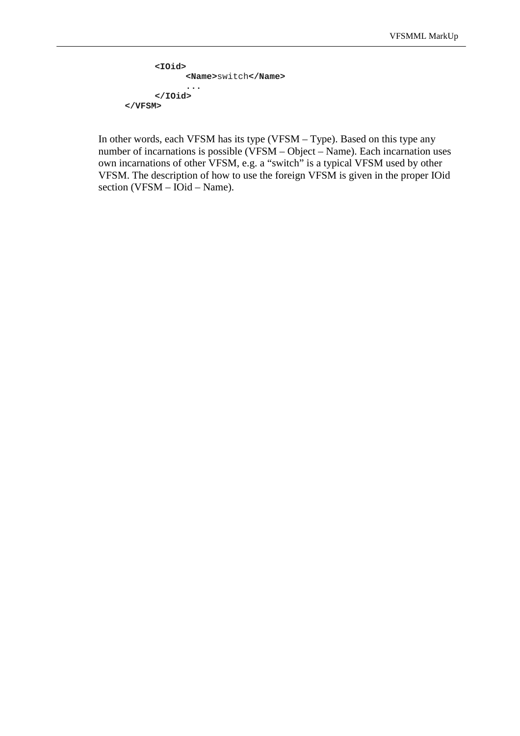```
<IOid> 
             <Name>switch</Name> 
              ... 
      </IOid> 
</VFSM>
```
In other words, each VFSM has its type (VFSM – Type). Based on this type any number of incarnations is possible (VFSM – Object – Name). Each incarnation uses own incarnations of other VFSM, e.g. a "switch" is a typical VFSM used by other VFSM. The description of how to use the foreign VFSM is given in the proper IOid section (VFSM – IOid – Name).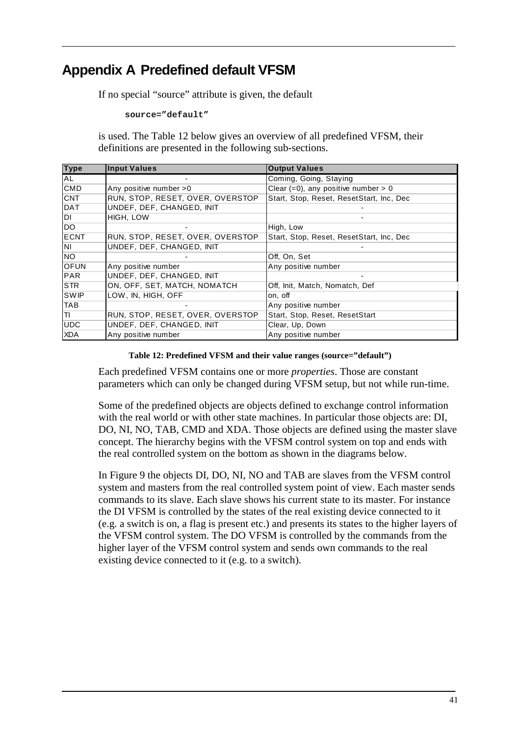## **Appendix A Predefined default VFSM**

If no special "source" attribute is given, the default

**source="default"** 

is used. The Table 12 below gives an overview of all predefined VFSM, their definitions are presented in the following sub-sections.

| <b>Type</b> | <b>Input Values</b>              | <b>Output Values</b>                      |
|-------------|----------------------------------|-------------------------------------------|
| <b>AL</b>   |                                  | Coming, Going, Staying                    |
| <b>CMD</b>  | Any positive number > 0          | Clear $(=0)$ , any positive number > 0    |
| <b>CNT</b>  | RUN, STOP, RESET, OVER, OVERSTOP | Start, Stop, Reset, ResetStart, Inc, Dec. |
| <b>DAT</b>  | UNDEF, DEF, CHANGED, INIT        |                                           |
| DI          | HIGH, LOW                        |                                           |
| <b>DO</b>   |                                  | High, Low                                 |
| <b>ECNT</b> | RUN, STOP, RESET, OVER, OVERSTOP | Start, Stop, Reset, ResetStart, Inc, Dec. |
| <b>NI</b>   | UNDEF, DEF, CHANGED, INIT        |                                           |
| <b>NO</b>   |                                  | Off, On, Set                              |
| <b>OFUN</b> | Any positive number              | Any positive number                       |
| <b>PAR</b>  | UNDEF, DEF, CHANGED, INIT        |                                           |
| <b>STR</b>  | ON, OFF, SET, MATCH, NOMATCH     | Off, Init, Match, Nomatch, Def            |
| <b>SWIP</b> | LOW, IN, HIGH, OFF               | on, off                                   |
| <b>TAB</b>  |                                  | Any positive number                       |
| ITI.        | RUN, STOP, RESET, OVER, OVERSTOP | Start, Stop, Reset, ResetStart            |
| <b>UDC</b>  | UNDEF, DEF, CHANGED, INIT        | Clear, Up, Down                           |
| <b>XDA</b>  | Any positive number              | Any positive number                       |

#### **Table 12: Predefined VFSM and their value ranges (source="default")**

Each predefined VFSM contains one or more *properties*. Those are constant parameters which can only be changed during VFSM setup, but not while run-time.

Some of the predefined objects are objects defined to exchange control information with the real world or with other state machines. In particular those objects are: DI, DO, NI, NO, TAB, CMD and XDA. Those objects are defined using the master slave concept. The hierarchy begins with the VFSM control system on top and ends with the real controlled system on the bottom as shown in the diagrams below.

In Figure 9 the objects DI, DO, NI, NO and TAB are slaves from the VFSM control system and masters from the real controlled system point of view. Each master sends commands to its slave. Each slave shows his current state to its master. For instance the DI VFSM is controlled by the states of the real existing device connected to it (e.g. a switch is on, a flag is present etc.) and presents its states to the higher layers of the VFSM control system. The DO VFSM is controlled by the commands from the higher layer of the VFSM control system and sends own commands to the real existing device connected to it (e.g. to a switch).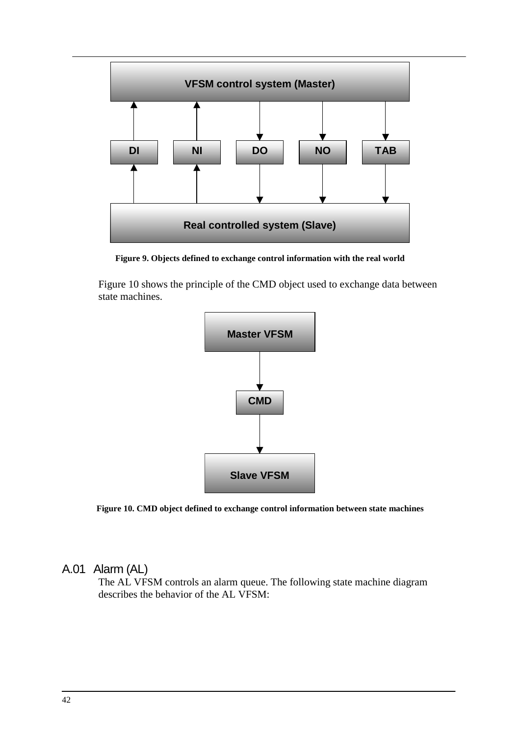

**Figure 9. Objects defined to exchange control information with the real world** 

Figure 10 shows the principle of the CMD object used to exchange data between state machines.



**Figure 10. CMD object defined to exchange control information between state machines** 

## A.01 Alarm (AL)

The AL VFSM controls an alarm queue. The following state machine diagram describes the behavior of the AL VFSM: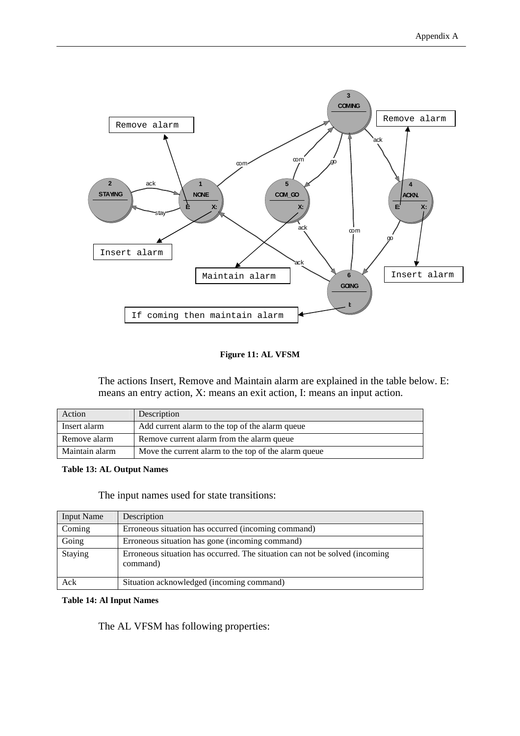

#### **Figure 11: AL VFSM**

The actions Insert, Remove and Maintain alarm are explained in the table below. E: means an entry action, X: means an exit action, I: means an input action.

| Action         | Description                                          |
|----------------|------------------------------------------------------|
| Insert alarm   | Add current alarm to the top of the alarm queue      |
| Remove alarm   | Remove current alarm from the alarm queue            |
| Maintain alarm | Move the current alarm to the top of the alarm queue |

#### **Table 13: AL Output Names**

The input names used for state transitions:

| <b>Input Name</b> | Description                                                                             |
|-------------------|-----------------------------------------------------------------------------------------|
| Coming            | Erroneous situation has occurred (incoming command)                                     |
| Going             | Erroneous situation has gone (incoming command)                                         |
| Staying           | Erroneous situation has occurred. The situation can not be solved (incoming<br>command) |
| Ack               | Situation acknowledged (incoming command)                                               |

#### **Table 14: Al Input Names**

The AL VFSM has following properties: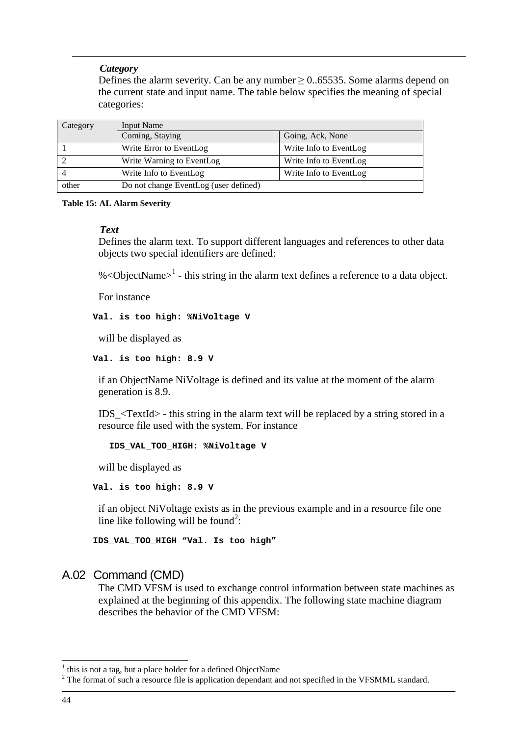#### *Category*

Defines the alarm severity. Can be any number  $\geq 0.65535$ . Some alarms depend on the current state and input name. The table below specifies the meaning of special categories:

| Category | Input Name                            |                        |
|----------|---------------------------------------|------------------------|
|          | Coming, Staying                       | Going, Ack, None       |
|          | Write Error to EventLog               | Write Info to EventLog |
|          | Write Warning to EventLog             | Write Info to EventLog |
|          | Write Info to EventLog                | Write Info to EventLog |
| other    | Do not change EventLog (user defined) |                        |

#### **Table 15: AL Alarm Severity**

#### *Text*

Defines the alarm text. To support different languages and references to other data objects two special identifiers are defined:

%<ObjectName> $1$  - this string in the alarm text defines a reference to a data object.

For instance

**Val. is too high: %NiVoltage V** 

will be displayed as

**Val. is too high: 8.9 V** 

if an ObjectName NiVoltage is defined and its value at the moment of the alarm generation is 8.9.

IDS  $\langle TextId \rangle$  - this string in the alarm text will be replaced by a string stored in a resource file used with the system. For instance

 **IDS\_VAL\_TOO\_HIGH: %NiVoltage V** 

will be displayed as

**Val. is too high: 8.9 V** 

if an object NiVoltage exists as in the previous example and in a resource file one line like following will be found<sup>2</sup>:

**IDS\_VAL\_TOO\_HIGH "Val. Is too high"** 

## A.02 Command (CMD)

The CMD VFSM is used to exchange control information between state machines as explained at the beginning of this appendix. The following state machine diagram describes the behavior of the CMD VFSM:

<sup>&</sup>lt;sup>1</sup> this is not a tag, but a place holder for a defined ObjectName

 $2^2$  The format of such a resource file is application dependant and not specified in the VFSMML standard.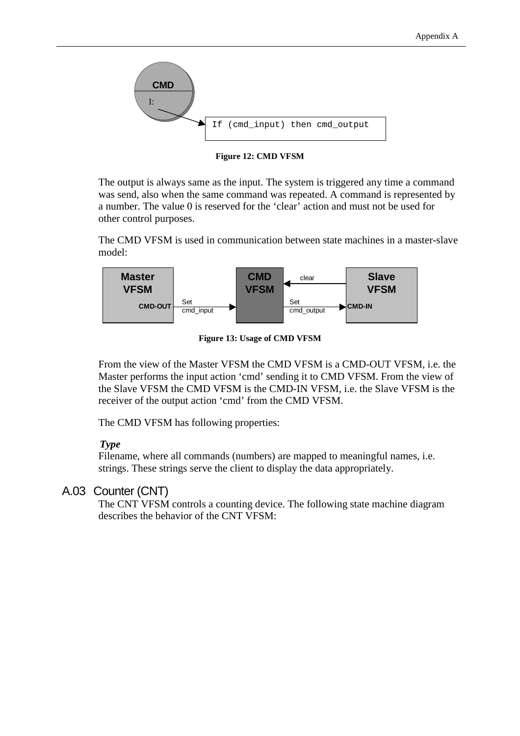

**Figure 12: CMD VFSM** 

The output is always same as the input. The system is triggered any time a command was send, also when the same command was repeated. A command is represented by a number. The value 0 is reserved for the 'clear' action and must not be used for other control purposes.

The CMD VFSM is used in communication between state machines in a master-slave model:



**Figure 13: Usage of CMD VFSM** 

From the view of the Master VFSM the CMD VFSM is a CMD-OUT VFSM, i.e. the Master performs the input action 'cmd' sending it to CMD VFSM. From the view of the Slave VFSM the CMD VFSM is the CMD-IN VFSM, i.e. the Slave VFSM is the receiver of the output action 'cmd' from the CMD VFSM.

The CMD VFSM has following properties:

## *Type*

Filename, where all commands (numbers) are mapped to meaningful names, i.e. strings. These strings serve the client to display the data appropriately.

## A.03 Counter (CNT)

The CNT VFSM controls a counting device. The following state machine diagram describes the behavior of the CNT VFSM: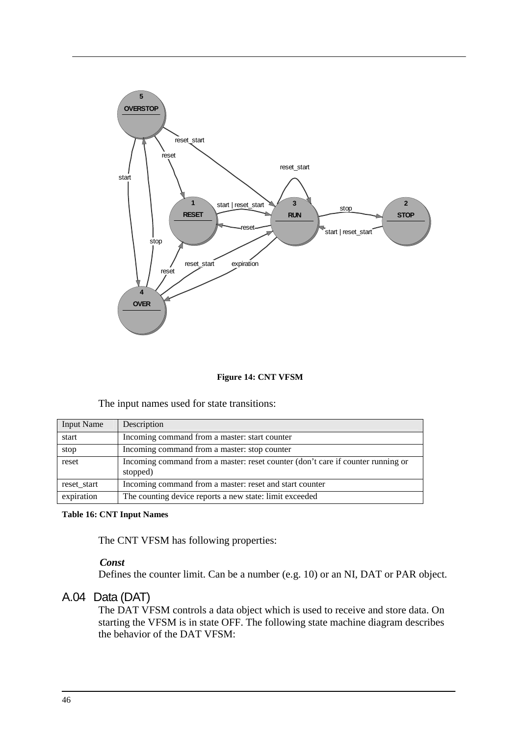

#### **Figure 14: CNT VFSM**

The input names used for state transitions:

| <b>Input Name</b> | Description                                                                                 |
|-------------------|---------------------------------------------------------------------------------------------|
| start             | Incoming command from a master: start counter                                               |
| stop              | Incoming command from a master: stop counter                                                |
| reset             | Incoming command from a master: reset counter (don't care if counter running or<br>stopped) |
| reset start       | Incoming command from a master: reset and start counter                                     |
| expiration        | The counting device reports a new state: limit exceeded                                     |

**Table 16: CNT Input Names** 

The CNT VFSM has following properties:

## *Const*

Defines the counter limit. Can be a number (e.g. 10) or an NI, DAT or PAR object.

## A.04 Data (DAT)

The DAT VFSM controls a data object which is used to receive and store data. On starting the VFSM is in state OFF. The following state machine diagram describes the behavior of the DAT VFSM: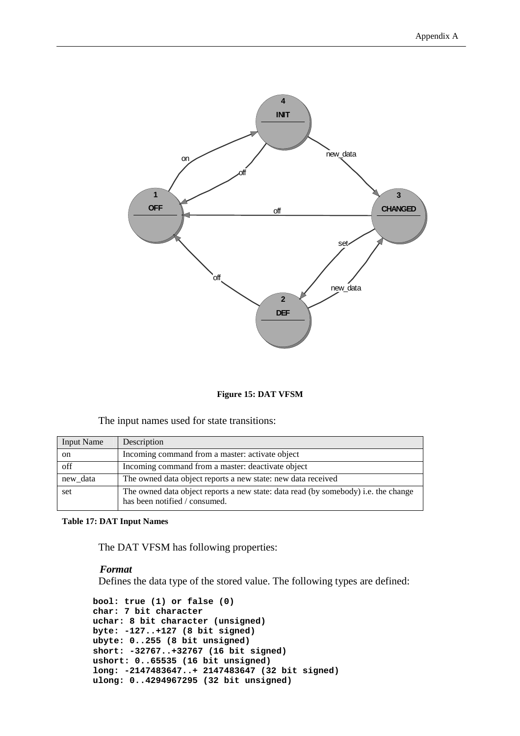

#### **Figure 15: DAT VFSM**

#### The input names used for state transitions:

| <b>Input Name</b> | Description                                                                                                         |
|-------------------|---------------------------------------------------------------------------------------------------------------------|
| <sub>on</sub>     | Incoming command from a master: activate object                                                                     |
| off               | Incoming command from a master: deactivate object                                                                   |
| new_data          | The owned data object reports a new state: new data received                                                        |
| set               | The owned data object reports a new state: data read (by somebody) i.e. the change<br>has been notified / consumed. |

#### **Table 17: DAT Input Names**

The DAT VFSM has following properties:

#### *Format*

Defines the data type of the stored value. The following types are defined:

```
bool: true (1) or false (0) 
char: 7 bit character 
uchar: 8 bit character (unsigned) 
byte: -127..+127 (8 bit signed) 
ubyte: 0..255 (8 bit unsigned) 
short: -32767..+32767 (16 bit signed) 
ushort: 0..65535 (16 bit unsigned) 
long: -2147483647..+ 2147483647 (32 bit signed) 
ulong: 0..4294967295 (32 bit unsigned)
```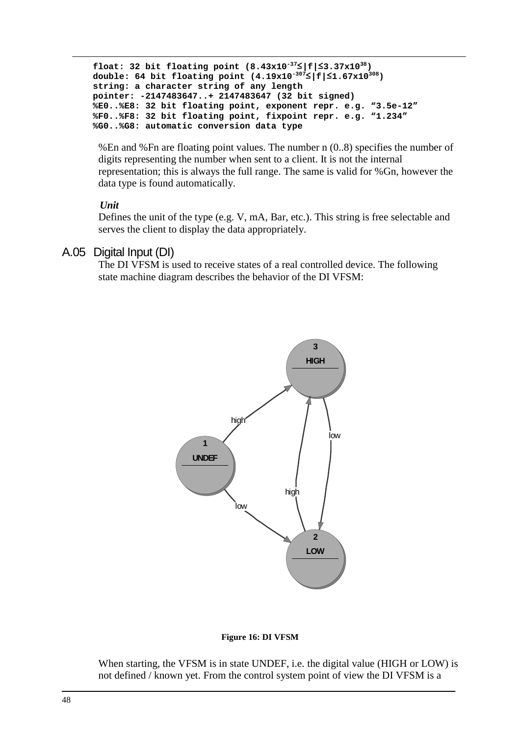```
float: 32 bit floating point (8.43x10-37≤|f|≤3.37x1038) 
double: 64 bit floating point (4.19x10-307≤|f|≤1.67x10308) 
string: a character string of any length 
pointer: -2147483647..+ 2147483647 (32 bit signed) 
%E0..%E8: 32 bit floating point, exponent repr. e.g. "3.5e-12" 
%F0..%F8: 32 bit floating point, fixpoint repr. e.g. "1.234" 
%G0..%G8: automatic conversion data type
```
%En and %Fn are floating point values. The number n (0..8) specifies the number of digits representing the number when sent to a client. It is not the internal representation; this is always the full range. The same is valid for %Gn, however the data type is found automatically.

#### *Unit*

Defines the unit of the type (e.g. V, mA, Bar, etc.). This string is free selectable and serves the client to display the data appropriately.

## A.05 Digital Input (DI)

The DI VFSM is used to receive states of a real controlled device. The following state machine diagram describes the behavior of the DI VFSM:



#### **Figure 16: DI VFSM**

When starting, the VFSM is in state UNDEF, i.e. the digital value (HIGH or LOW) is not defined / known yet. From the control system point of view the DI VFSM is a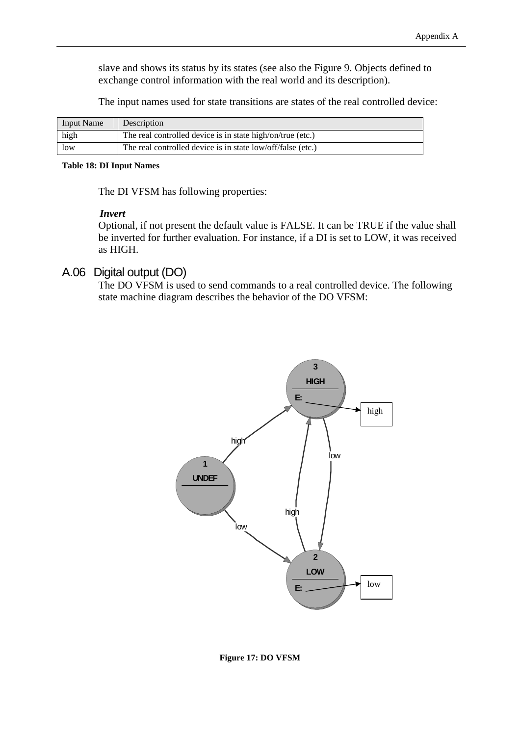slave and shows its status by its states (see also the Figure 9. Objects defined to exchange control information with the real world and its description).

The input names used for state transitions are states of the real controlled device:

| <b>Input Name</b> | Description                                                 |
|-------------------|-------------------------------------------------------------|
| high              | The real controlled device is in state high/on/true (etc.)  |
| low               | The real controlled device is in state low/off/false (etc.) |

#### **Table 18: DI Input Names**

The DI VFSM has following properties:

#### *Invert*

Optional, if not present the default value is FALSE. It can be TRUE if the value shall be inverted for further evaluation. For instance, if a DI is set to LOW, it was received as HIGH.

## A.06 Digital output (DO)

The DO VFSM is used to send commands to a real controlled device. The following state machine diagram describes the behavior of the DO VFSM:



**Figure 17: DO VFSM**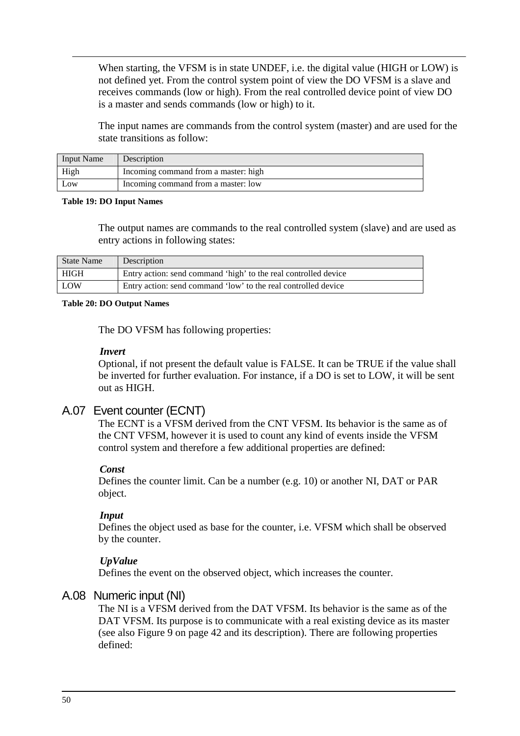When starting, the VFSM is in state UNDEF, i.e. the digital value (HIGH or LOW) is not defined yet. From the control system point of view the DO VFSM is a slave and receives commands (low or high). From the real controlled device point of view DO is a master and sends commands (low or high) to it.

The input names are commands from the control system (master) and are used for the state transitions as follow:

| <b>Input Name</b> | Description                          |
|-------------------|--------------------------------------|
| High              | Incoming command from a master: high |
| Low               | Incoming command from a master: low  |

#### **Table 19: DO Input Names**

The output names are commands to the real controlled system (slave) and are used as entry actions in following states:

| <b>State Name</b> | Description                                                     |
|-------------------|-----------------------------------------------------------------|
| HIGH              | Entry action: send command 'high' to the real controlled device |
| <b>LOW</b>        | Entry action: send command 'low' to the real controlled device  |

#### **Table 20: DO Output Names**

The DO VFSM has following properties:

#### *Invert*

Optional, if not present the default value is FALSE. It can be TRUE if the value shall be inverted for further evaluation. For instance, if a DO is set to LOW, it will be sent out as HIGH.

## A.07 Event counter (ECNT)

The ECNT is a VFSM derived from the CNT VFSM. Its behavior is the same as of the CNT VFSM, however it is used to count any kind of events inside the VFSM control system and therefore a few additional properties are defined:

#### *Const*

Defines the counter limit. Can be a number (e.g. 10) or another NI, DAT or PAR object.

#### *Input*

Defines the object used as base for the counter, i.e. VFSM which shall be observed by the counter.

#### *UpValue*

Defines the event on the observed object, which increases the counter.

## A.08 Numeric input (NI)

The NI is a VFSM derived from the DAT VFSM. Its behavior is the same as of the DAT VFSM. Its purpose is to communicate with a real existing device as its master (see also Figure 9 on page 42 and its description). There are following properties defined: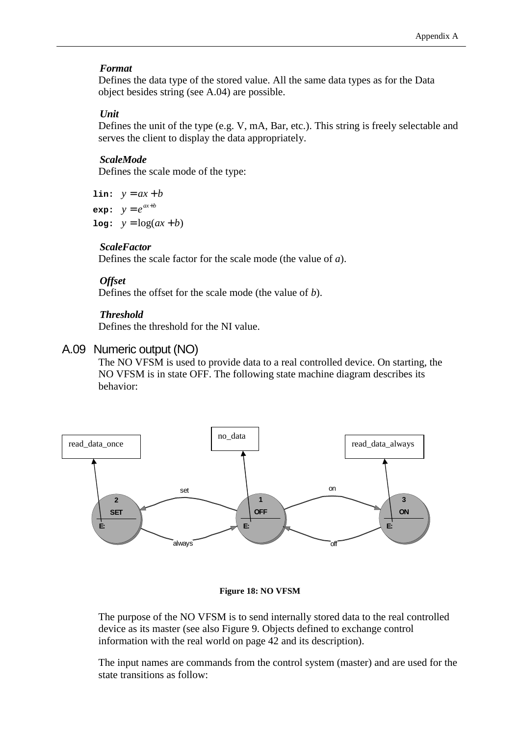#### *Format*

Defines the data type of the stored value. All the same data types as for the Data object besides string (see A.04) are possible.

#### *Unit*

Defines the unit of the type (e.g. V, mA, Bar, etc.). This string is freely selectable and serves the client to display the data appropriately.

#### *ScaleMode*

Defines the scale mode of the type:

**lin:**  $y = ax + b$ **exp:**  $v = e^{ax+b}$  $log: y = log(ax + b)$ 

#### *ScaleFactor*

Defines the scale factor for the scale mode (the value of *a*).

#### *Offset*

Defines the offset for the scale mode (the value of *b*).

#### *Threshold*

Defines the threshold for the NI value.

#### A.09 Numeric output (NO)

The NO VFSM is used to provide data to a real controlled device. On starting, the NO VFSM is in state OFF. The following state machine diagram describes its behavior:



#### **Figure 18: NO VFSM**

The purpose of the NO VFSM is to send internally stored data to the real controlled device as its master (see also Figure 9. Objects defined to exchange control information with the real world on page 42 and its description).

The input names are commands from the control system (master) and are used for the state transitions as follow: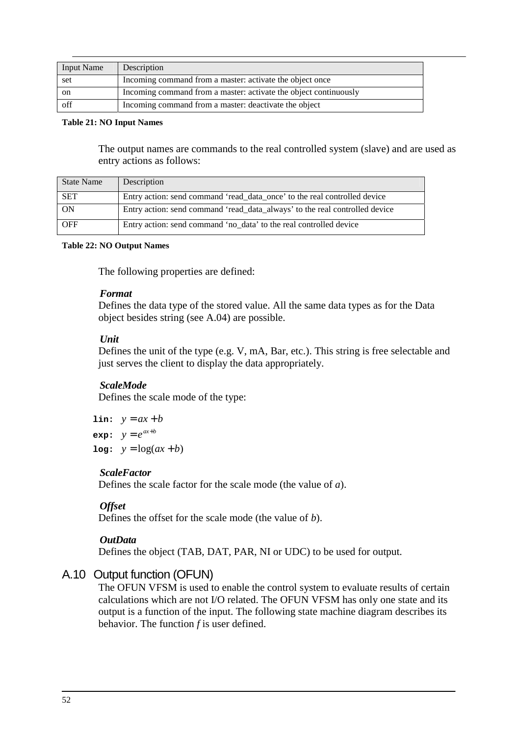| <b>Input Name</b> | Description                                                      |
|-------------------|------------------------------------------------------------------|
| set               | Incoming command from a master: activate the object once         |
| on                | Incoming command from a master: activate the object continuously |
| off               | Incoming command from a master: deactivate the object            |

#### **Table 21: NO Input Names**

The output names are commands to the real controlled system (slave) and are used as entry actions as follows:

| State Name | Description                                                                 |
|------------|-----------------------------------------------------------------------------|
| <b>SET</b> | Entry action: send command 'read_data_once' to the real controlled device   |
| ON         | Entry action: send command 'read_data_always' to the real controlled device |
| <b>OFF</b> | Entry action: send command 'no data' to the real controlled device          |

#### **Table 22: NO Output Names**

The following properties are defined:

#### *Format*

Defines the data type of the stored value. All the same data types as for the Data object besides string (see A.04) are possible.

#### *Unit*

Defines the unit of the type (e.g. V, mA, Bar, etc.). This string is free selectable and just serves the client to display the data appropriately.

#### *ScaleMode*

Defines the scale mode of the type:

```
lin: y = ax + bexp: v = e^{ax+b}log: y = log(ax + b)
```
#### *ScaleFactor*

Defines the scale factor for the scale mode (the value of *a*).

#### *Offset*

Defines the offset for the scale mode (the value of *b*).

#### *OutData*

Defines the object (TAB, DAT, PAR, NI or UDC) to be used for output.

## A.10 Output function (OFUN)

The OFUN VFSM is used to enable the control system to evaluate results of certain calculations which are not I/O related. The OFUN VFSM has only one state and its output is a function of the input. The following state machine diagram describes its behavior. The function *f* is user defined.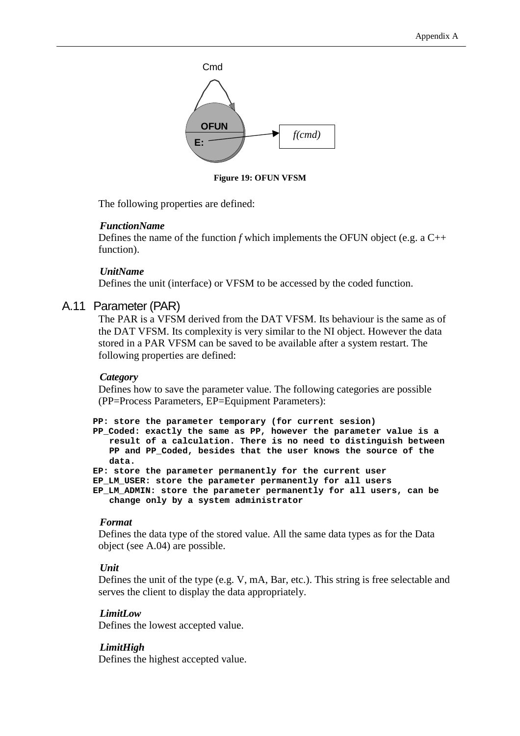

**Figure 19: OFUN VFSM** 

The following properties are defined:

#### *FunctionName*

Defines the name of the function *f* which implements the OFUN object (e.g. a C++ function).

#### *UnitName*

Defines the unit (interface) or VFSM to be accessed by the coded function.

#### A.11 Parameter (PAR)

The PAR is a VFSM derived from the DAT VFSM. Its behaviour is the same as of the DAT VFSM. Its complexity is very similar to the NI object. However the data stored in a PAR VFSM can be saved to be available after a system restart. The following properties are defined:

#### *Category*

Defines how to save the parameter value. The following categories are possible (PP=Process Parameters, EP=Equipment Parameters):

```
PP: store the parameter temporary (for current sesion) 
PP_Coded: exactly the same as PP, however the parameter value is a 
   result of a calculation. There is no need to distinguish between 
   PP and PP_Coded, besides that the user knows the source of the 
   data. 
EP: store the parameter permanently for the current user 
EP_LM_USER: store the parameter permanently for all users 
EP_LM_ADMIN: store the parameter permanently for all users, can be
```

```
change only by a system administrator
```
#### *Format*

Defines the data type of the stored value. All the same data types as for the Data object (see A.04) are possible.

#### *Unit*

Defines the unit of the type (e.g. V, mA, Bar, etc.). This string is free selectable and serves the client to display the data appropriately.

#### *LimitLow*

Defines the lowest accepted value.

#### *LimitHigh*

Defines the highest accepted value.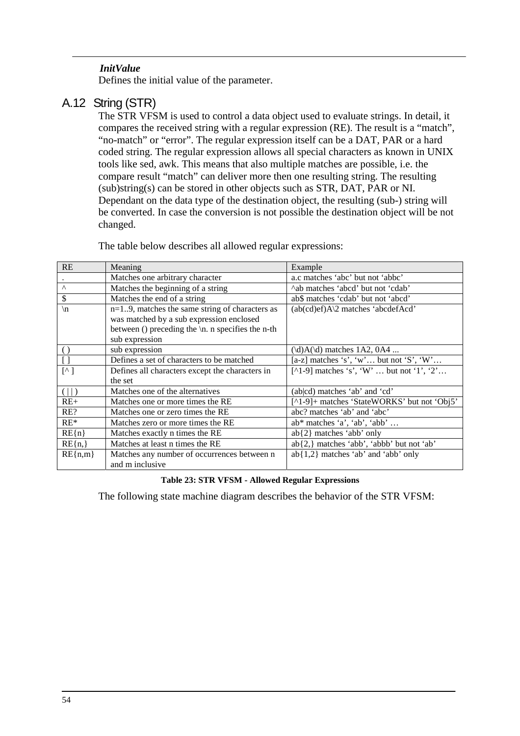## *InitValue*

Defines the initial value of the parameter.

## A.12 String (STR)

The STR VFSM is used to control a data object used to evaluate strings. In detail, it compares the received string with a regular expression (RE). The result is a "match", "no-match" or "error". The regular expression itself can be a DAT, PAR or a hard coded string. The regular expression allows all special characters as known in UNIX tools like sed, awk. This means that also multiple matches are possible, i.e. the compare result "match" can deliver more then one resulting string. The resulting (sub)string(s) can be stored in other objects such as STR, DAT, PAR or NI. Dependant on the data type of the destination object, the resulting (sub-) string will be converted. In case the conversion is not possible the destination object will be not changed.

| RE                                               | Meaning                                                        | Example                                        |
|--------------------------------------------------|----------------------------------------------------------------|------------------------------------------------|
|                                                  | Matches one arbitrary character                                | a.c matches 'abc' but not 'abbc'               |
| $\Lambda$                                        | Matches the beginning of a string                              | A natches 'abcd' but not 'cdab'                |
| \$                                               | Matches the end of a string                                    | ab\$ matches 'cdab' but not 'abcd'             |
| $\ln$                                            | $n=19$ , matches the same string of characters as              | $(ab(cd)e f)A\$ 2 matches 'abcdef $Acd$ '      |
|                                                  | was matched by a sub expression enclosed                       |                                                |
|                                                  | between () preceding the $\ln$ n specifies the n-th            |                                                |
|                                                  | sub expression                                                 |                                                |
| $\left( \right)$                                 | sub expression                                                 | $(\mathcal{d})A(\mathcal{d})$ matches 1A2, 0A4 |
|                                                  | Defines a set of characters to be matched                      | [a-z] matches 's', 'w' but not 'S', 'W'        |
| $\lceil$ <sup><math>\wedge</math></sup> $\rceil$ | Defines all characters except the characters in                | [^1-9] matches 's', 'W'  but not '1', '2'      |
|                                                  | the set                                                        |                                                |
| $(\vert \vert)$                                  | Matches one of the alternatives                                | (ab cd) matches 'ab' and 'cd'                  |
| $RE+$                                            | Matches one or more times the RE                               | [^1-9]+ matches 'StateWORKS' but not 'Obj5'    |
| RE?                                              | Matches one or zero times the RE                               | abc? matches 'ab' and 'abc'                    |
| $RE*$                                            | Matches zero or more times the RE                              | $ab^*$ matches 'a', 'ab', 'abb'                |
| $RE{n}$                                          | Matches exactly n times the RE                                 | $ab\{2\}$ matches 'abb' only                   |
| $RE{n,}$                                         | Matches at least n times the RE                                | ab{2,} matches 'abb', 'abbb' but not 'ab'      |
| $RE{n,m}$                                        | Matches any number of occurrences between n<br>and m inclusive | $ab{1,2}$ matches 'ab' and 'abb' only          |

The table below describes all allowed regular expressions:

#### **Table 23: STR VFSM - Allowed Regular Expressions**

The following state machine diagram describes the behavior of the STR VFSM: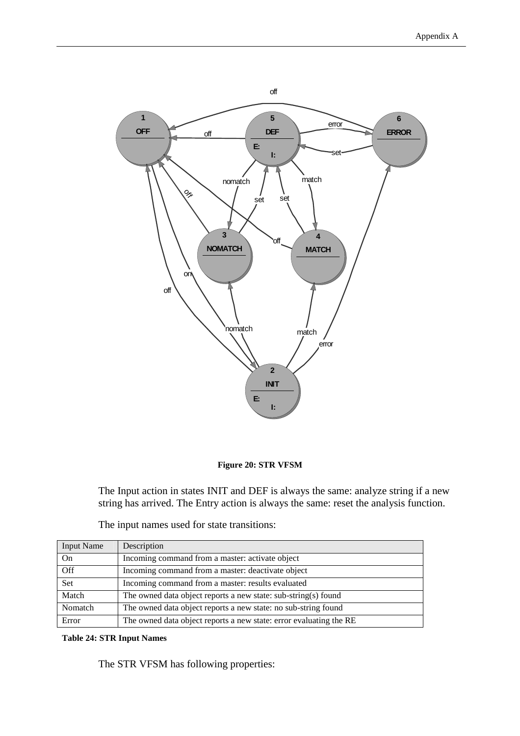

#### **Figure 20: STR VFSM**

The Input action in states INIT and DEF is always the same: analyze string if a new string has arrived. The Entry action is always the same: reset the analysis function.

| <b>Input Name</b> | Description                                                        |
|-------------------|--------------------------------------------------------------------|
| On                | Incoming command from a master: activate object                    |
| $\overline{Off}$  | Incoming command from a master: deactivate object                  |
| Set               | Incoming command from a master: results evaluated                  |
| Match             | The owned data object reports a new state: sub-string(s) found     |
| Nomatch           | The owned data object reports a new state: no sub-string found     |
| Error             | The owned data object reports a new state: error evaluating the RE |

The input names used for state transitions:

#### **Table 24: STR Input Names**

The STR VFSM has following properties: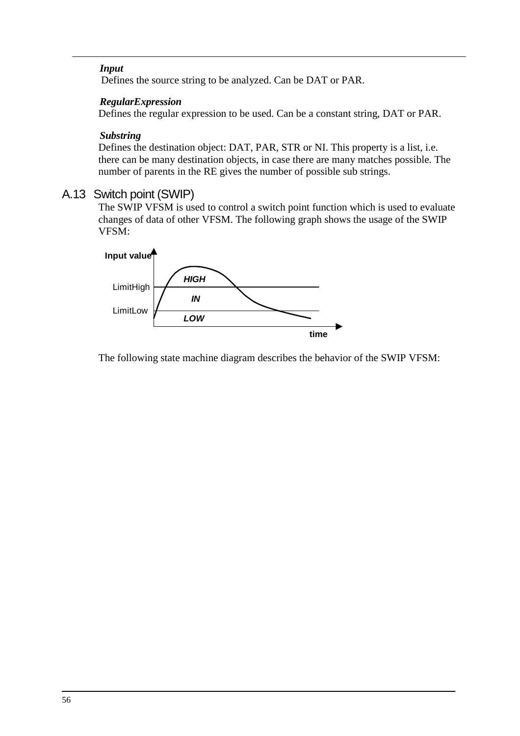## *Input*

Defines the source string to be analyzed. Can be DAT or PAR.

### *RegularExpression*

Defines the regular expression to be used. Can be a constant string, DAT or PAR.

## *Substring*

Defines the destination object: DAT, PAR, STR or NI. This property is a list, i.e. there can be many destination objects, in case there are many matches possible. The number of parents in the RE gives the number of possible sub strings.

## A.13 Switch point (SWIP)

The SWIP VFSM is used to control a switch point function which is used to evaluate changes of data of other VFSM. The following graph shows the usage of the SWIP VFSM:



The following state machine diagram describes the behavior of the SWIP VFSM: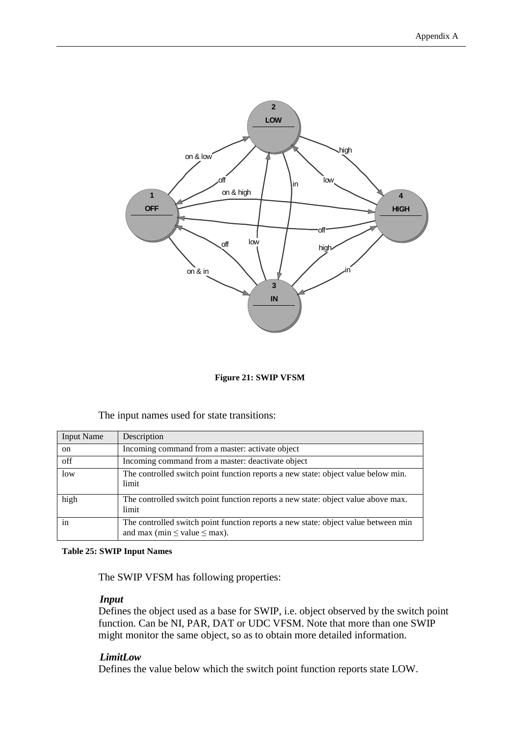

**Figure 21: SWIP VFSM** 

The input names used for state transitions:

| <b>Input Name</b> | Description                                                                                                                  |
|-------------------|------------------------------------------------------------------------------------------------------------------------------|
| on                | Incoming command from a master: activate object                                                                              |
| off               | Incoming command from a master: deactivate object                                                                            |
| low               | The controlled switch point function reports a new state: object value below min.<br>limit                                   |
| high              | The controlled switch point function reports a new state: object value above max.<br>limit                                   |
| 1n                | The controlled switch point function reports a new state: object value between min<br>and max (min $\leq$ value $\leq$ max). |

#### **Table 25: SWIP Input Names**

The SWIP VFSM has following properties:

#### *Input*

Defines the object used as a base for SWIP, i.e. object observed by the switch point function. Can be NI, PAR, DAT or UDC VFSM. Note that more than one SWIP might monitor the same object, so as to obtain more detailed information.

#### *LimitLow*

Defines the value below which the switch point function reports state LOW.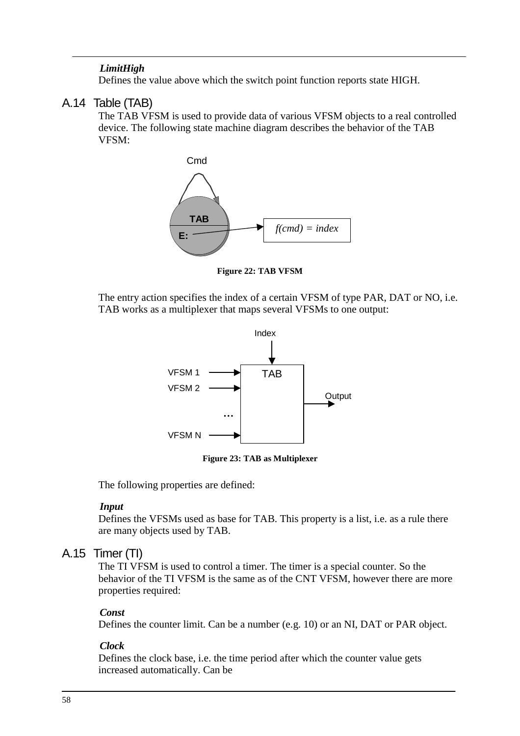## *LimitHigh*

Defines the value above which the switch point function reports state HIGH.

## A.14 Table (TAB)

The TAB VFSM is used to provide data of various VFSM objects to a real controlled device. The following state machine diagram describes the behavior of the TAB VFSM:





The entry action specifies the index of a certain VFSM of type PAR, DAT or NO, i.e. TAB works as a multiplexer that maps several VFSMs to one output:



**Figure 23: TAB as Multiplexer** 

The following properties are defined:

#### *Input*

Defines the VFSMs used as base for TAB. This property is a list, i.e. as a rule there are many objects used by TAB.

## A.15 Timer (TI)

The TI VFSM is used to control a timer. The timer is a special counter. So the behavior of the TI VFSM is the same as of the CNT VFSM, however there are more properties required:

#### *Const*

Defines the counter limit. Can be a number (e.g. 10) or an NI, DAT or PAR object.

#### *Clock*

Defines the clock base, i.e. the time period after which the counter value gets increased automatically. Can be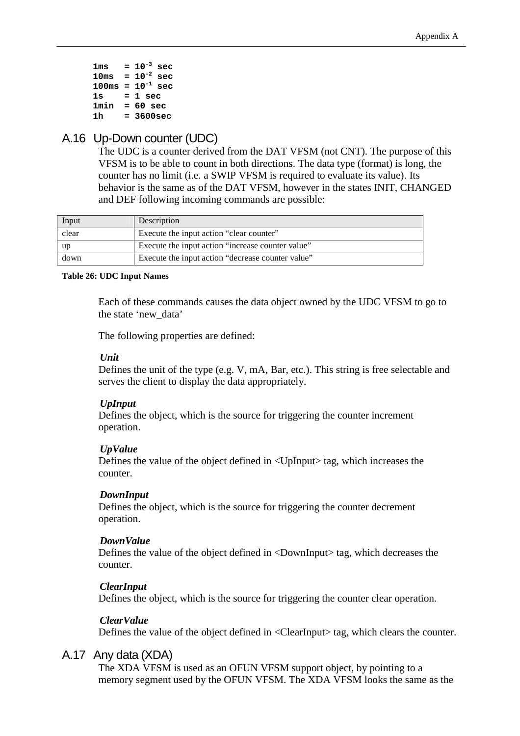| 1ms             |     | $10^{-3}$ sec    |
|-----------------|-----|------------------|
| $10\mathrm{ms}$ | $=$ | $10^{-2}$<br>sec |
| 100ms           |     | $= 10^{-1}$ sec  |
| 1s              |     | = 1 sec          |
| 1min            |     | = 60 sec         |
| 1 h             |     | = 3600sec        |

## A.16 Up-Down counter (UDC)

The UDC is a counter derived from the DAT VFSM (not CNT). The purpose of this VFSM is to be able to count in both directions. The data type (format) is long, the counter has no limit (i.e. a SWIP VFSM is required to evaluate its value). Its behavior is the same as of the DAT VFSM, however in the states INIT, CHANGED and DEF following incoming commands are possible:

| Input | Description                                       |
|-------|---------------------------------------------------|
| clear | Execute the input action "clear counter"          |
| up-   | Execute the input action "increase counter value" |
| down  | Execute the input action "decrease counter value" |

#### **Table 26: UDC Input Names**

Each of these commands causes the data object owned by the UDC VFSM to go to the state 'new\_data'

The following properties are defined:

#### *Unit*

Defines the unit of the type (e.g. V, mA, Bar, etc.). This string is free selectable and serves the client to display the data appropriately.

#### *UpInput*

Defines the object, which is the source for triggering the counter increment operation.

#### *UpValue*

Defines the value of the object defined in <UpInput> tag, which increases the counter.

#### *DownInput*

Defines the object, which is the source for triggering the counter decrement operation.

#### *DownValue*

Defines the value of the object defined in <DownInput> tag, which decreases the counter.

#### *ClearInput*

Defines the object, which is the source for triggering the counter clear operation.

#### *ClearValue*

Defines the value of the object defined in <ClearInput> tag, which clears the counter.

## A.17 Any data (XDA)

The XDA VFSM is used as an OFUN VFSM support object, by pointing to a memory segment used by the OFUN VFSM. The XDA VFSM looks the same as the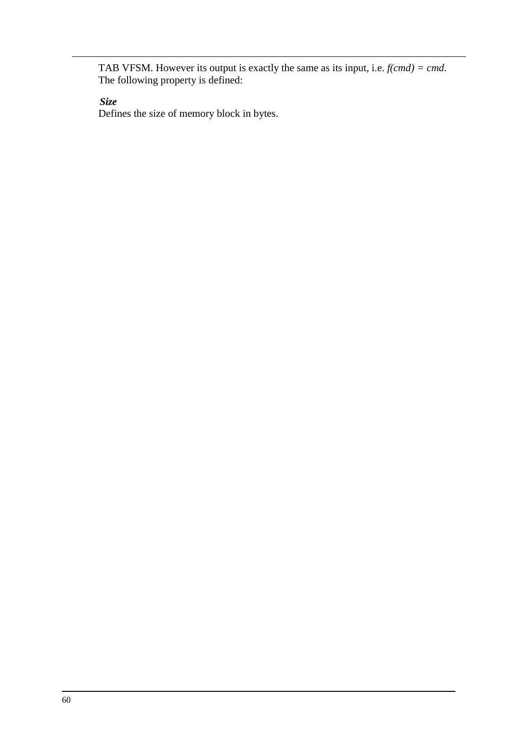TAB VFSM. However its output is exactly the same as its input, i.e. *f(cmd) = cmd*. The following property is defined:

*Size* 

Defines the size of memory block in bytes.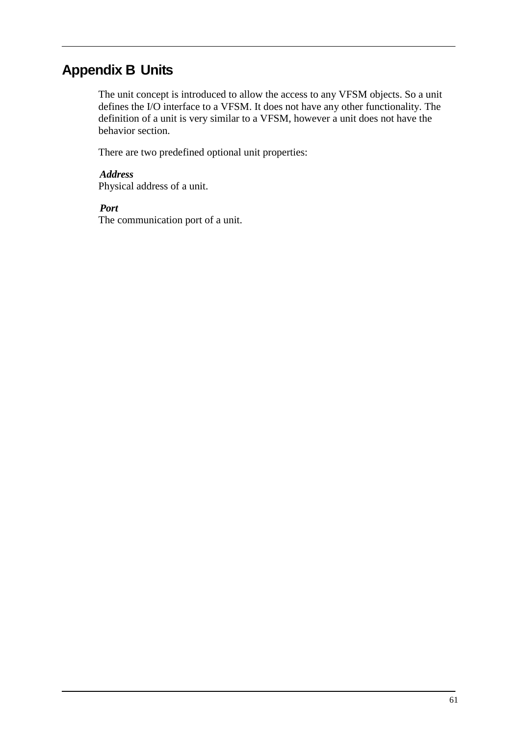## **Appendix B Units**

The unit concept is introduced to allow the access to any VFSM objects. So a unit defines the I/O interface to a VFSM. It does not have any other functionality. The definition of a unit is very similar to a VFSM, however a unit does not have the behavior section.

There are two predefined optional unit properties:

*Address*  Physical address of a unit.

*Port* 

The communication port of a unit.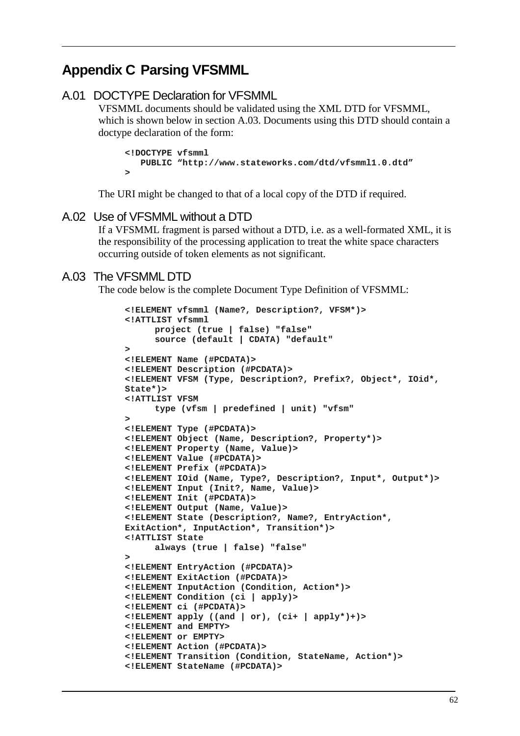## **Appendix C Parsing VFSMML**

```
A.01 DOCTYPE Declaration for VFSMML
```
VFSMML documents should be validated using the XML DTD for VFSMML, which is shown below in section A.03. Documents using this DTD should contain a doctype declaration of the form:

```
<!DOCTYPE vfsmml 
    PUBLIC "http://www.stateworks.com/dtd/vfsmml1.0.dtd" 
>
```
The URI might be changed to that of a local copy of the DTD if required.

## A.02 Use of VFSMML without a DTD

If a VFSMML fragment is parsed without a DTD, i.e. as a well-formated XML, it is the responsibility of the processing application to treat the white space characters occurring outside of token elements as not significant.

## A.03 The VFSMML DTD

The code below is the complete Document Type Definition of VFSMML:

```
<!ELEMENT vfsmml (Name?, Description?, VFSM*)> 
<!ATTLIST vfsmml 
       project (true | false) "false" 
       source (default | CDATA) "default" 
> 
<!ELEMENT Name (#PCDATA)> 
<!ELEMENT Description (#PCDATA)> 
<!ELEMENT VFSM (Type, Description?, Prefix?, Object*, IOid*, 
State*)> 
<!ATTLIST VFSM 
       type (vfsm | predefined | unit) "vfsm" 
> 
<!ELEMENT Type (#PCDATA)> 
<!ELEMENT Object (Name, Description?, Property*)> 
<!ELEMENT Property (Name, Value)> 
<!ELEMENT Value (#PCDATA)> 
<!ELEMENT Prefix (#PCDATA)> 
<!ELEMENT IOid (Name, Type?, Description?, Input*, Output*)> 
<!ELEMENT Input (Init?, Name, Value)> 
<!ELEMENT Init (#PCDATA)> 
<!ELEMENT Output (Name, Value)> 
<!ELEMENT State (Description?, Name?, EntryAction*, 
ExitAction*, InputAction*, Transition*)> 
<!ATTLIST State 
       always (true | false) "false" 
> 
<!ELEMENT EntryAction (#PCDATA)> 
<!ELEMENT ExitAction (#PCDATA)> 
<!ELEMENT InputAction (Condition, Action*)> 
<!ELEMENT Condition (ci | apply)> 
<!ELEMENT ci (#PCDATA)> 
\leq!ELEMENT apply ((and | or), (ci+ | apply*)+)<!ELEMENT and EMPTY> 
<!ELEMENT or EMPTY> 
<!ELEMENT Action (#PCDATA)> 
<!ELEMENT Transition (Condition, StateName, Action*)> 
<!ELEMENT StateName (#PCDATA)>
```